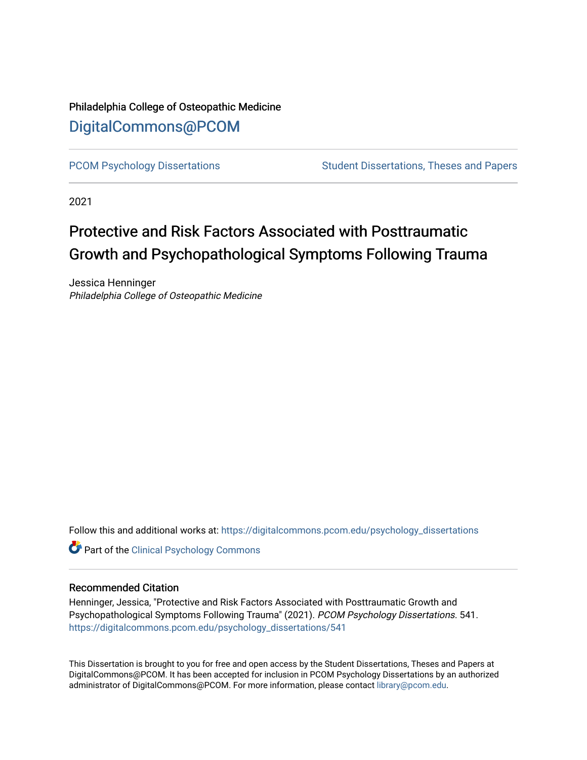## Philadelphia College of Osteopathic Medicine [DigitalCommons@PCOM](https://digitalcommons.pcom.edu/)

[PCOM Psychology Dissertations](https://digitalcommons.pcom.edu/psychology_dissertations) Student Dissertations, Theses and Papers

2021

## Protective and Risk Factors Associated with Posttraumatic Growth and Psychopathological Symptoms Following Trauma

Jessica Henninger Philadelphia College of Osteopathic Medicine

Follow this and additional works at: [https://digitalcommons.pcom.edu/psychology\\_dissertations](https://digitalcommons.pcom.edu/psychology_dissertations?utm_source=digitalcommons.pcom.edu%2Fpsychology_dissertations%2F541&utm_medium=PDF&utm_campaign=PDFCoverPages)

**Part of the Clinical Psychology Commons** 

#### Recommended Citation

Henninger, Jessica, "Protective and Risk Factors Associated with Posttraumatic Growth and Psychopathological Symptoms Following Trauma" (2021). PCOM Psychology Dissertations. 541. [https://digitalcommons.pcom.edu/psychology\\_dissertations/541](https://digitalcommons.pcom.edu/psychology_dissertations/541?utm_source=digitalcommons.pcom.edu%2Fpsychology_dissertations%2F541&utm_medium=PDF&utm_campaign=PDFCoverPages) 

This Dissertation is brought to you for free and open access by the Student Dissertations, Theses and Papers at DigitalCommons@PCOM. It has been accepted for inclusion in PCOM Psychology Dissertations by an authorized administrator of DigitalCommons@PCOM. For more information, please contact [library@pcom.edu.](mailto:library@pcom.edu)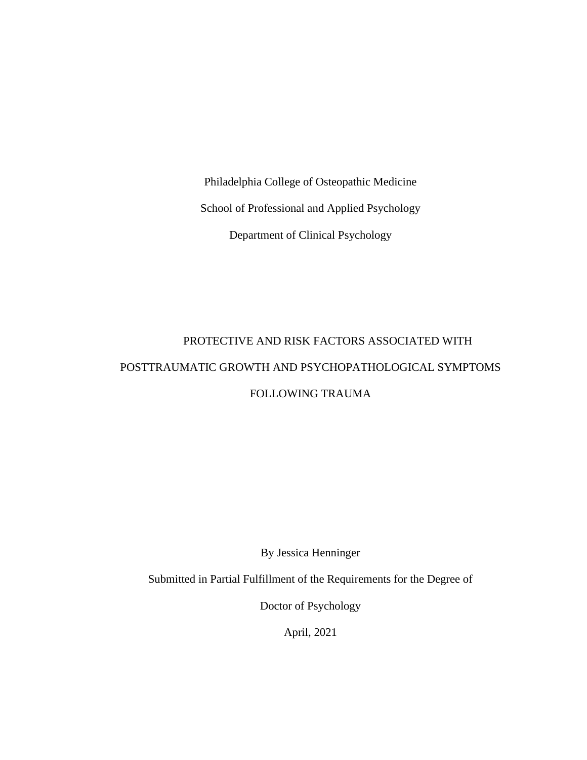Philadelphia College of Osteopathic Medicine School of Professional and Applied Psychology Department of Clinical Psychology

# PROTECTIVE AND RISK FACTORS ASSOCIATED WITH POSTTRAUMATIC GROWTH AND PSYCHOPATHOLOGICAL SYMPTOMS FOLLOWING TRAUMA

By Jessica Henninger

Submitted in Partial Fulfillment of the Requirements for the Degree of

Doctor of Psychology

April, 2021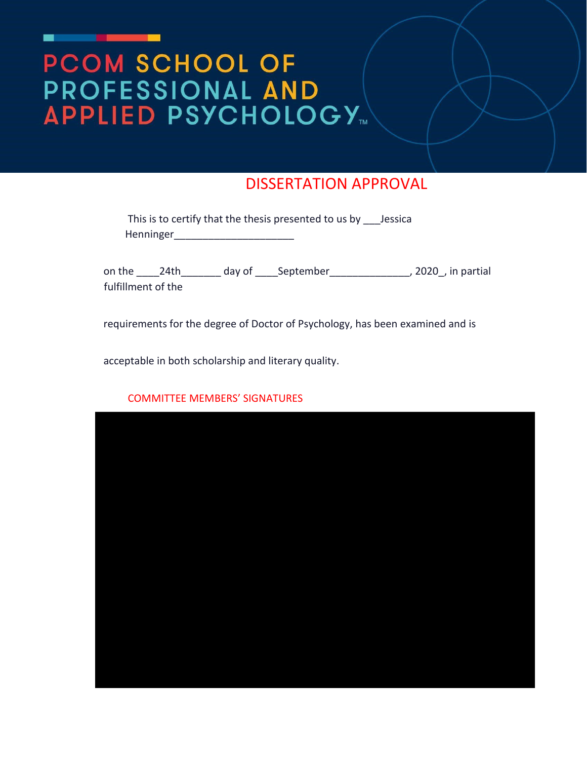# PCOM SCHOOL OF PROFESSIONAL AND **APPLIED PSYCHOLOGY**

## DISSERTATION APPROVAL

| This is to certify that the thesis presented to us by Jessica |  |
|---------------------------------------------------------------|--|
| Henninger                                                     |  |

on the \_\_\_\_\_24th\_\_\_\_\_\_\_\_\_ day of \_\_\_\_\_September\_\_\_\_\_\_\_\_\_\_\_\_\_\_\_\_\_, 2020\_, in partial fulfillment of the

requirements for the degree of Doctor of Psychology, has been examined and is

acceptable in both scholarship and literary quality.



#### COMMITTEE MEMBERS' SIGNATURES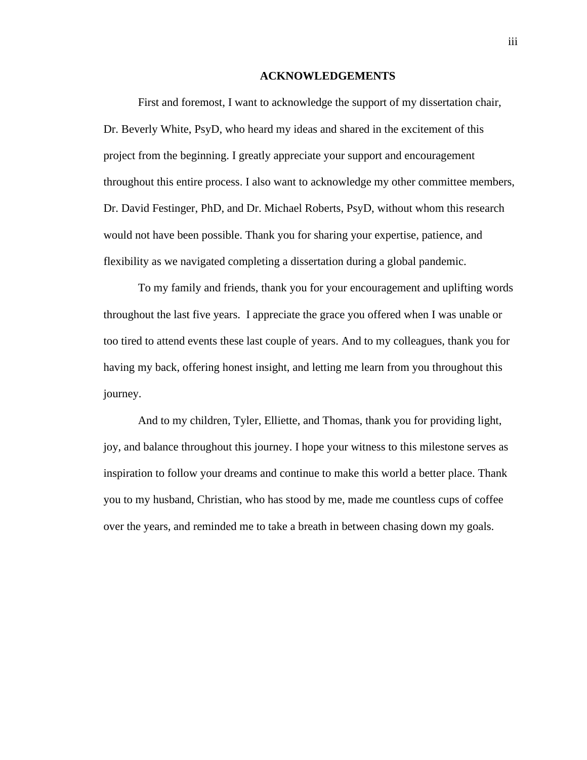#### **ACKNOWLEDGEMENTS**

First and foremost, I want to acknowledge the support of my dissertation chair, Dr. Beverly White, PsyD, who heard my ideas and shared in the excitement of this project from the beginning. I greatly appreciate your support and encouragement throughout this entire process. I also want to acknowledge my other committee members, Dr. David Festinger, PhD, and Dr. Michael Roberts, PsyD, without whom this research would not have been possible. Thank you for sharing your expertise, patience, and flexibility as we navigated completing a dissertation during a global pandemic.

To my family and friends, thank you for your encouragement and uplifting words throughout the last five years. I appreciate the grace you offered when I was unable or too tired to attend events these last couple of years. And to my colleagues, thank you for having my back, offering honest insight, and letting me learn from you throughout this journey.

And to my children, Tyler, Elliette, and Thomas, thank you for providing light, joy, and balance throughout this journey. I hope your witness to this milestone serves as inspiration to follow your dreams and continue to make this world a better place. Thank you to my husband, Christian, who has stood by me, made me countless cups of coffee over the years, and reminded me to take a breath in between chasing down my goals.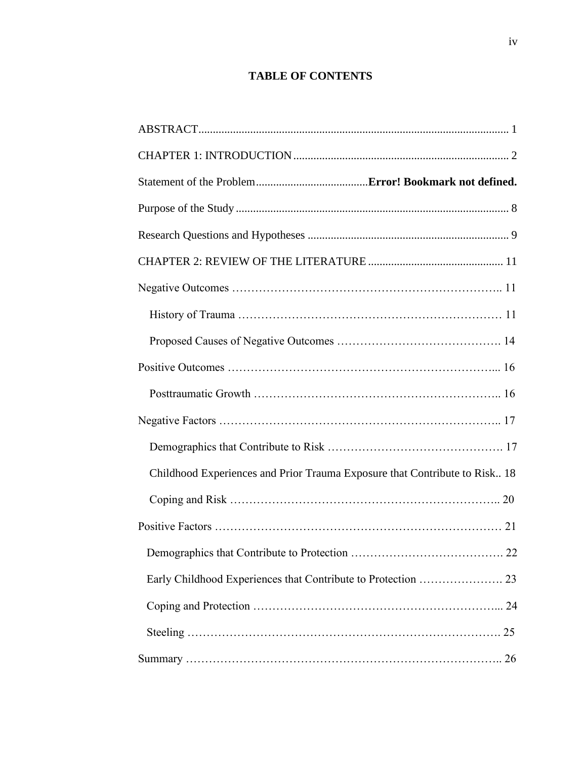### **TABLE OF CONTENTS**

| Childhood Experiences and Prior Trauma Exposure that Contribute to Risk 18 |
|----------------------------------------------------------------------------|
|                                                                            |
|                                                                            |
|                                                                            |
|                                                                            |
|                                                                            |
|                                                                            |
|                                                                            |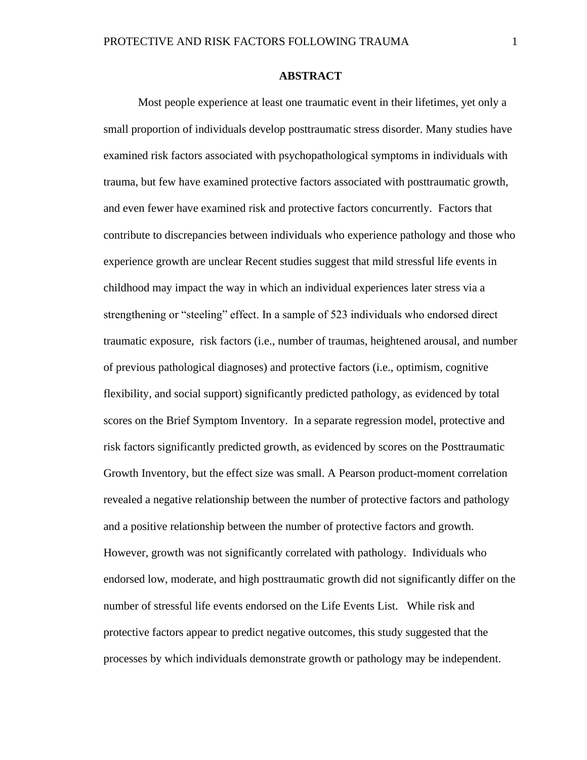Most people experience at least one traumatic event in their lifetimes, yet only a small proportion of individuals develop posttraumatic stress disorder. Many studies have examined risk factors associated with psychopathological symptoms in individuals with trauma, but few have examined protective factors associated with posttraumatic growth, and even fewer have examined risk and protective factors concurrently. Factors that contribute to discrepancies between individuals who experience pathology and those who experience growth are unclear Recent studies suggest that mild stressful life events in childhood may impact the way in which an individual experiences later stress via a strengthening or "steeling" effect. In a sample of 523 individuals who endorsed direct traumatic exposure, risk factors (i.e., number of traumas, heightened arousal, and number of previous pathological diagnoses) and protective factors (i.e., optimism, cognitive flexibility, and social support) significantly predicted pathology, as evidenced by total scores on the Brief Symptom Inventory. In a separate regression model, protective and risk factors significantly predicted growth, as evidenced by scores on the Posttraumatic Growth Inventory, but the effect size was small. A Pearson product-moment correlation revealed a negative relationship between the number of protective factors and pathology and a positive relationship between the number of protective factors and growth. However, growth was not significantly correlated with pathology. Individuals who endorsed low, moderate, and high posttraumatic growth did not significantly differ on the number of stressful life events endorsed on the Life Events List. While risk and protective factors appear to predict negative outcomes, this study suggested that the processes by which individuals demonstrate growth or pathology may be independent.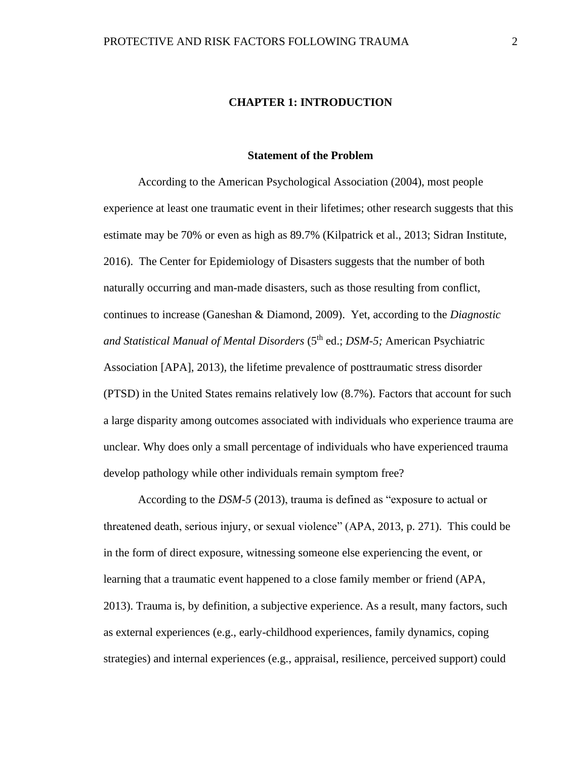#### **CHAPTER 1: INTRODUCTION**

#### **Statement of the Problem**

According to the American Psychological Association (2004), most people experience at least one traumatic event in their lifetimes; other research suggests that this estimate may be 70% or even as high as 89.7% (Kilpatrick et al., 2013; Sidran Institute, 2016). The Center for Epidemiology of Disasters suggests that the number of both naturally occurring and man-made disasters, such as those resulting from conflict, continues to increase (Ganeshan & Diamond, 2009). Yet, according to the *Diagnostic and Statistical Manual of Mental Disorders* (5th ed.; *DSM-5;* American Psychiatric Association [APA], 2013), the lifetime prevalence of posttraumatic stress disorder (PTSD) in the United States remains relatively low (8.7%). Factors that account for such a large disparity among outcomes associated with individuals who experience trauma are unclear. Why does only a small percentage of individuals who have experienced trauma develop pathology while other individuals remain symptom free?

According to the *DSM-5* (2013), trauma is defined as "exposure to actual or threatened death, serious injury, or sexual violence" (APA, 2013, p. 271). This could be in the form of direct exposure, witnessing someone else experiencing the event, or learning that a traumatic event happened to a close family member or friend (APA, 2013). Trauma is, by definition, a subjective experience. As a result, many factors, such as external experiences (e.g., early-childhood experiences, family dynamics, coping strategies) and internal experiences (e.g., appraisal, resilience, perceived support) could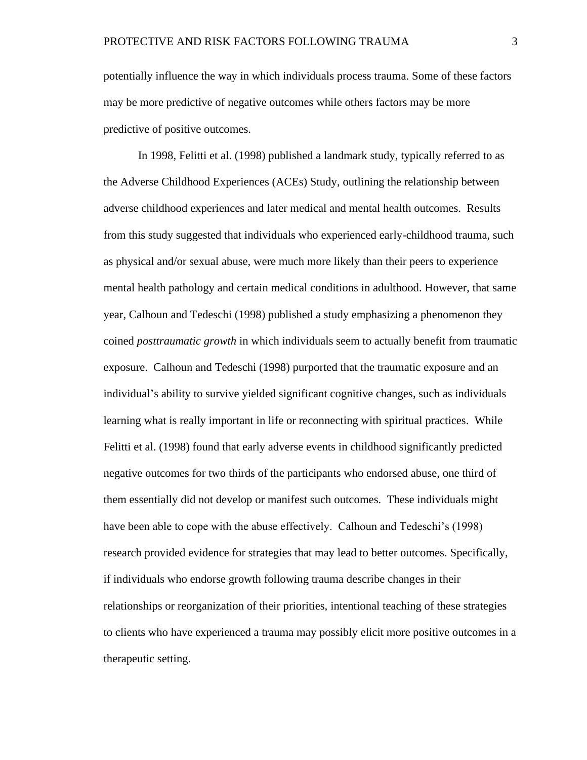potentially influence the way in which individuals process trauma. Some of these factors may be more predictive of negative outcomes while others factors may be more predictive of positive outcomes.

In 1998, Felitti et al. (1998) published a landmark study, typically referred to as the Adverse Childhood Experiences (ACEs) Study, outlining the relationship between adverse childhood experiences and later medical and mental health outcomes. Results from this study suggested that individuals who experienced early-childhood trauma, such as physical and/or sexual abuse, were much more likely than their peers to experience mental health pathology and certain medical conditions in adulthood. However, that same year, Calhoun and Tedeschi (1998) published a study emphasizing a phenomenon they coined *posttraumatic growth* in which individuals seem to actually benefit from traumatic exposure. Calhoun and Tedeschi (1998) purported that the traumatic exposure and an individual's ability to survive yielded significant cognitive changes, such as individuals learning what is really important in life or reconnecting with spiritual practices. While Felitti et al. (1998) found that early adverse events in childhood significantly predicted negative outcomes for two thirds of the participants who endorsed abuse, one third of them essentially did not develop or manifest such outcomes. These individuals might have been able to cope with the abuse effectively. Calhoun and Tedeschi's (1998) research provided evidence for strategies that may lead to better outcomes. Specifically, if individuals who endorse growth following trauma describe changes in their relationships or reorganization of their priorities, intentional teaching of these strategies to clients who have experienced a trauma may possibly elicit more positive outcomes in a therapeutic setting.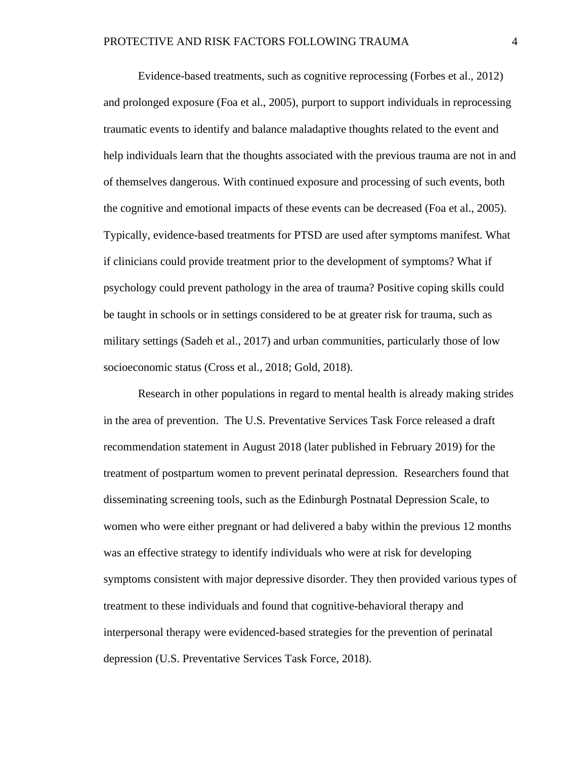Evidence-based treatments, such as cognitive reprocessing (Forbes et al., 2012) and prolonged exposure (Foa et al., 2005), purport to support individuals in reprocessing traumatic events to identify and balance maladaptive thoughts related to the event and help individuals learn that the thoughts associated with the previous trauma are not in and of themselves dangerous. With continued exposure and processing of such events, both the cognitive and emotional impacts of these events can be decreased (Foa et al., 2005). Typically, evidence-based treatments for PTSD are used after symptoms manifest. What if clinicians could provide treatment prior to the development of symptoms? What if psychology could prevent pathology in the area of trauma? Positive coping skills could be taught in schools or in settings considered to be at greater risk for trauma, such as military settings (Sadeh et al., 2017) and urban communities, particularly those of low socioeconomic status (Cross et al., 2018; Gold, 2018).

Research in other populations in regard to mental health is already making strides in the area of prevention. The U.S. Preventative Services Task Force released a draft recommendation statement in August 2018 (later published in February 2019) for the treatment of postpartum women to prevent perinatal depression. Researchers found that disseminating screening tools, such as the Edinburgh Postnatal Depression Scale, to women who were either pregnant or had delivered a baby within the previous 12 months was an effective strategy to identify individuals who were at risk for developing symptoms consistent with major depressive disorder. They then provided various types of treatment to these individuals and found that cognitive-behavioral therapy and interpersonal therapy were evidenced-based strategies for the prevention of perinatal depression (U.S. Preventative Services Task Force, 2018).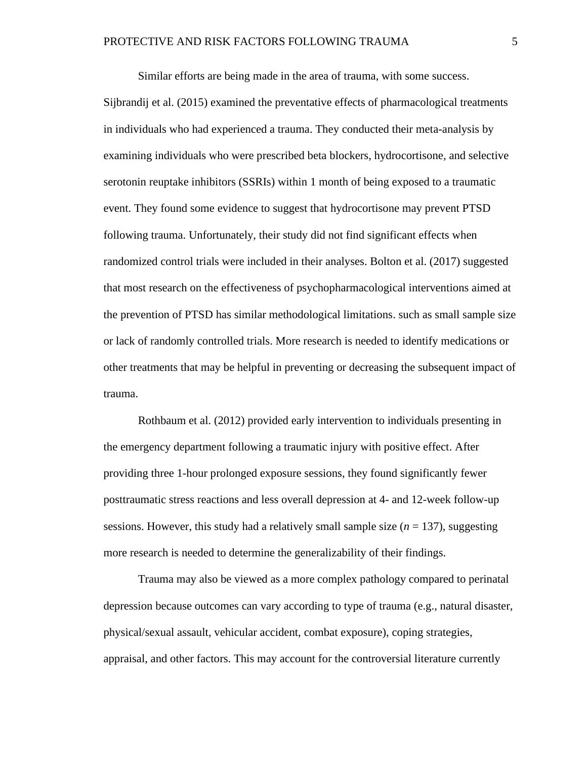Similar efforts are being made in the area of trauma, with some success.

Sijbrandij et al. (2015) examined the preventative effects of pharmacological treatments in individuals who had experienced a trauma. They conducted their meta-analysis by examining individuals who were prescribed beta blockers, hydrocortisone, and selective serotonin reuptake inhibitors (SSRIs) within 1 month of being exposed to a traumatic event. They found some evidence to suggest that hydrocortisone may prevent PTSD following trauma. Unfortunately, their study did not find significant effects when randomized control trials were included in their analyses. Bolton et al. (2017) suggested that most research on the effectiveness of psychopharmacological interventions aimed at the prevention of PTSD has similar methodological limitations. such as small sample size or lack of randomly controlled trials. More research is needed to identify medications or other treatments that may be helpful in preventing or decreasing the subsequent impact of trauma.

Rothbaum et al. (2012) provided early intervention to individuals presenting in the emergency department following a traumatic injury with positive effect. After providing three 1-hour prolonged exposure sessions, they found significantly fewer posttraumatic stress reactions and less overall depression at 4- and 12-week follow-up sessions. However, this study had a relatively small sample size  $(n = 137)$ , suggesting more research is needed to determine the generalizability of their findings.

Trauma may also be viewed as a more complex pathology compared to perinatal depression because outcomes can vary according to type of trauma (e.g., natural disaster, physical/sexual assault, vehicular accident, combat exposure), coping strategies, appraisal, and other factors. This may account for the controversial literature currently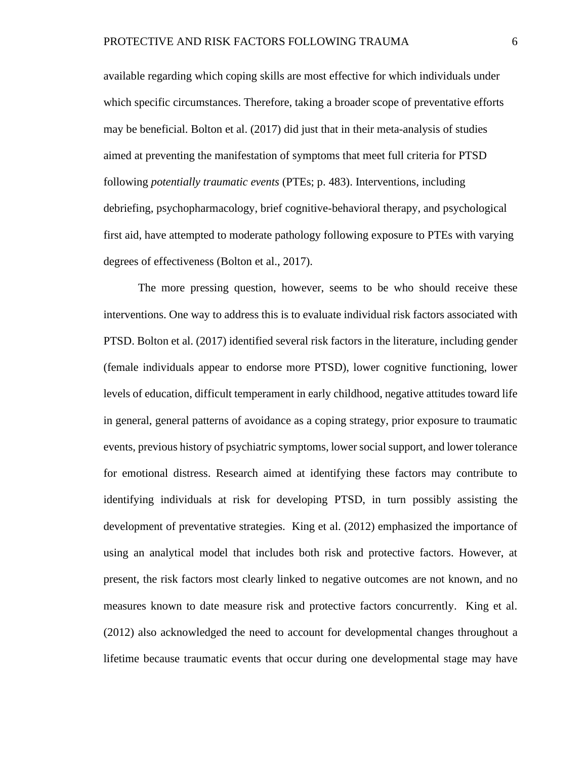available regarding which coping skills are most effective for which individuals under which specific circumstances. Therefore, taking a broader scope of preventative efforts may be beneficial. Bolton et al. (2017) did just that in their meta-analysis of studies aimed at preventing the manifestation of symptoms that meet full criteria for PTSD following *potentially traumatic events* (PTEs; p. 483). Interventions, including debriefing, psychopharmacology, brief cognitive-behavioral therapy, and psychological first aid, have attempted to moderate pathology following exposure to PTEs with varying degrees of effectiveness (Bolton et al., 2017).

The more pressing question, however, seems to be who should receive these interventions. One way to address this is to evaluate individual risk factors associated with PTSD. Bolton et al. (2017) identified several risk factors in the literature, including gender (female individuals appear to endorse more PTSD), lower cognitive functioning, lower levels of education, difficult temperament in early childhood, negative attitudes toward life in general, general patterns of avoidance as a coping strategy, prior exposure to traumatic events, previous history of psychiatric symptoms, lower social support, and lower tolerance for emotional distress. Research aimed at identifying these factors may contribute to identifying individuals at risk for developing PTSD, in turn possibly assisting the development of preventative strategies. King et al. (2012) emphasized the importance of using an analytical model that includes both risk and protective factors. However, at present, the risk factors most clearly linked to negative outcomes are not known, and no measures known to date measure risk and protective factors concurrently. King et al. (2012) also acknowledged the need to account for developmental changes throughout a lifetime because traumatic events that occur during one developmental stage may have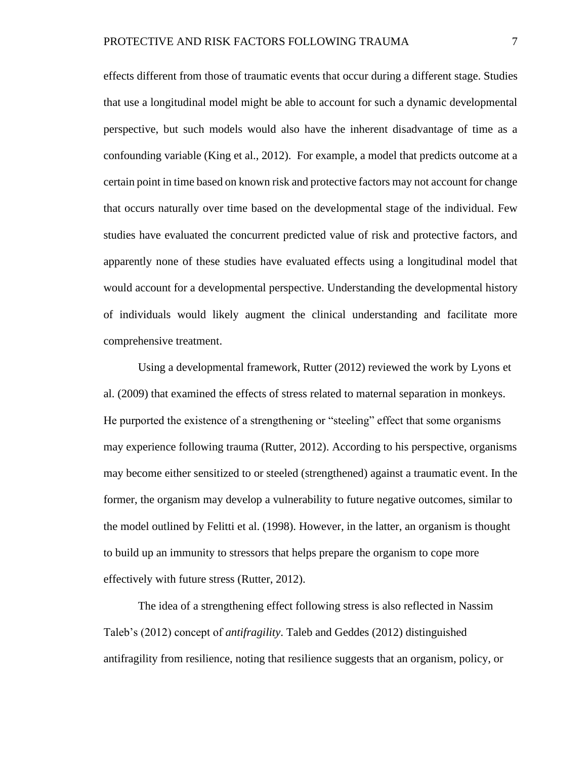effects different from those of traumatic events that occur during a different stage. Studies that use a longitudinal model might be able to account for such a dynamic developmental perspective, but such models would also have the inherent disadvantage of time as a confounding variable (King et al., 2012). For example, a model that predicts outcome at a certain point in time based on known risk and protective factors may not account for change that occurs naturally over time based on the developmental stage of the individual. Few studies have evaluated the concurrent predicted value of risk and protective factors, and apparently none of these studies have evaluated effects using a longitudinal model that would account for a developmental perspective. Understanding the developmental history of individuals would likely augment the clinical understanding and facilitate more comprehensive treatment.

Using a developmental framework, Rutter (2012) reviewed the work by Lyons et al. (2009) that examined the effects of stress related to maternal separation in monkeys. He purported the existence of a strengthening or "steeling" effect that some organisms may experience following trauma (Rutter, 2012). According to his perspective, organisms may become either sensitized to or steeled (strengthened) against a traumatic event. In the former, the organism may develop a vulnerability to future negative outcomes, similar to the model outlined by Felitti et al. (1998). However, in the latter, an organism is thought to build up an immunity to stressors that helps prepare the organism to cope more effectively with future stress (Rutter, 2012).

The idea of a strengthening effect following stress is also reflected in Nassim Taleb's (2012) concept of *antifragility*. Taleb and Geddes (2012) distinguished antifragility from resilience, noting that resilience suggests that an organism, policy, or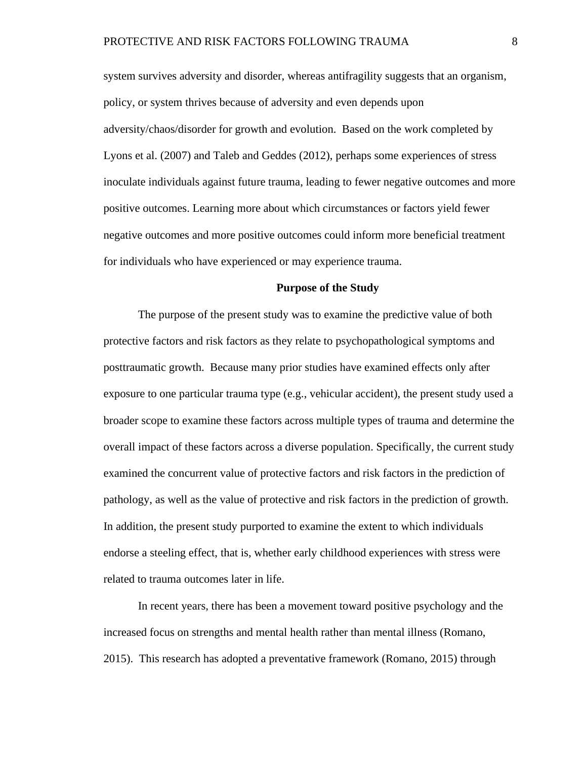system survives adversity and disorder, whereas antifragility suggests that an organism, policy, or system thrives because of adversity and even depends upon adversity/chaos/disorder for growth and evolution. Based on the work completed by Lyons et al. (2007) and Taleb and Geddes (2012), perhaps some experiences of stress inoculate individuals against future trauma, leading to fewer negative outcomes and more positive outcomes. Learning more about which circumstances or factors yield fewer negative outcomes and more positive outcomes could inform more beneficial treatment for individuals who have experienced or may experience trauma.

#### **Purpose of the Study**

The purpose of the present study was to examine the predictive value of both protective factors and risk factors as they relate to psychopathological symptoms and posttraumatic growth. Because many prior studies have examined effects only after exposure to one particular trauma type (e.g., vehicular accident), the present study used a broader scope to examine these factors across multiple types of trauma and determine the overall impact of these factors across a diverse population. Specifically, the current study examined the concurrent value of protective factors and risk factors in the prediction of pathology, as well as the value of protective and risk factors in the prediction of growth. In addition, the present study purported to examine the extent to which individuals endorse a steeling effect, that is, whether early childhood experiences with stress were related to trauma outcomes later in life.

In recent years, there has been a movement toward positive psychology and the increased focus on strengths and mental health rather than mental illness (Romano, 2015). This research has adopted a preventative framework (Romano, 2015) through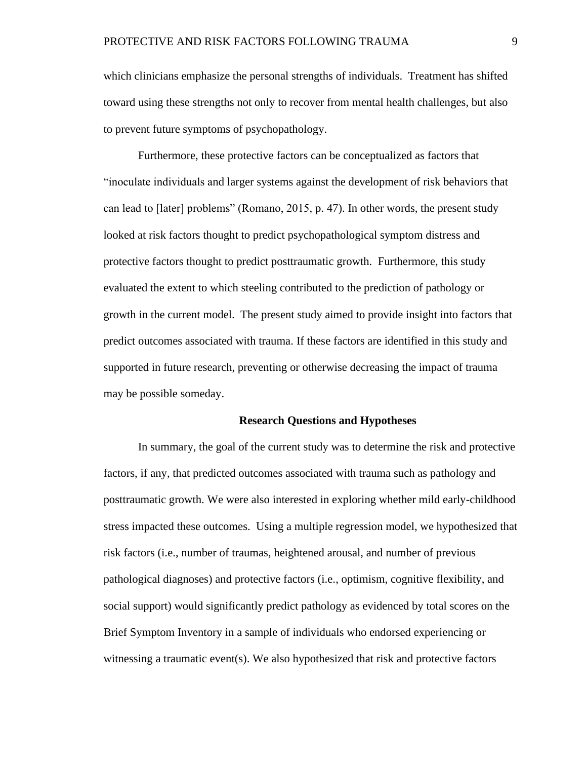which clinicians emphasize the personal strengths of individuals. Treatment has shifted toward using these strengths not only to recover from mental health challenges, but also to prevent future symptoms of psychopathology.

Furthermore, these protective factors can be conceptualized as factors that "inoculate individuals and larger systems against the development of risk behaviors that can lead to [later] problems" (Romano, 2015, p. 47). In other words, the present study looked at risk factors thought to predict psychopathological symptom distress and protective factors thought to predict posttraumatic growth. Furthermore, this study evaluated the extent to which steeling contributed to the prediction of pathology or growth in the current model. The present study aimed to provide insight into factors that predict outcomes associated with trauma. If these factors are identified in this study and supported in future research, preventing or otherwise decreasing the impact of trauma may be possible someday.

#### **Research Questions and Hypotheses**

In summary, the goal of the current study was to determine the risk and protective factors, if any, that predicted outcomes associated with trauma such as pathology and posttraumatic growth. We were also interested in exploring whether mild early-childhood stress impacted these outcomes. Using a multiple regression model, we hypothesized that risk factors (i.e., number of traumas, heightened arousal, and number of previous pathological diagnoses) and protective factors (i.e., optimism, cognitive flexibility, and social support) would significantly predict pathology as evidenced by total scores on the Brief Symptom Inventory in a sample of individuals who endorsed experiencing or witnessing a traumatic event(s). We also hypothesized that risk and protective factors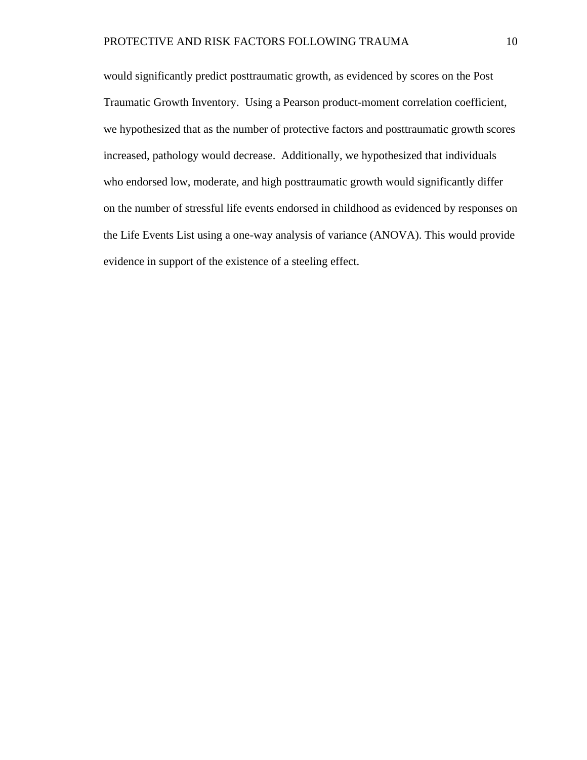would significantly predict posttraumatic growth, as evidenced by scores on the Post Traumatic Growth Inventory. Using a Pearson product-moment correlation coefficient, we hypothesized that as the number of protective factors and posttraumatic growth scores increased, pathology would decrease. Additionally, we hypothesized that individuals who endorsed low, moderate, and high posttraumatic growth would significantly differ on the number of stressful life events endorsed in childhood as evidenced by responses on the Life Events List using a one-way analysis of variance (ANOVA). This would provide evidence in support of the existence of a steeling effect.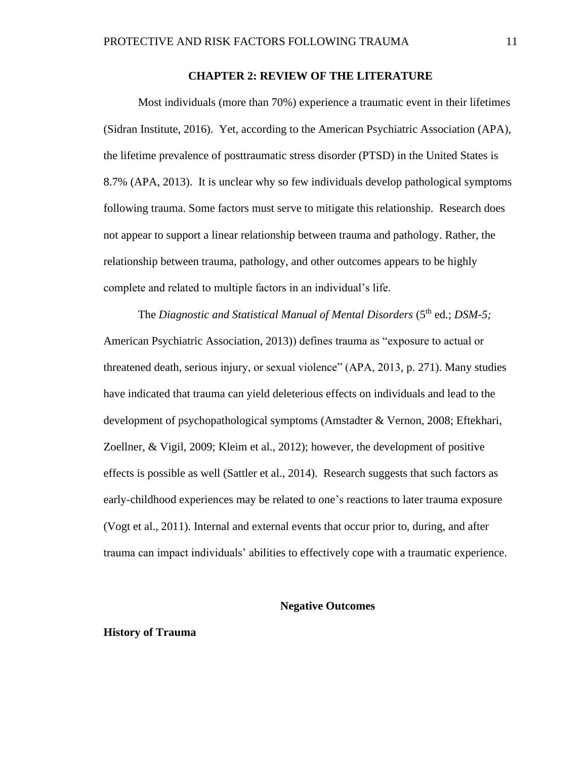#### **CHAPTER 2: REVIEW OF THE LITERATURE**

Most individuals (more than 70%) experience a traumatic event in their lifetimes (Sidran Institute, 2016). Yet, according to the American Psychiatric Association (APA), the lifetime prevalence of posttraumatic stress disorder (PTSD) in the United States is 8.7% (APA, 2013). It is unclear why so few individuals develop pathological symptoms following trauma. Some factors must serve to mitigate this relationship. Research does not appear to support a linear relationship between trauma and pathology. Rather, the relationship between trauma, pathology, and other outcomes appears to be highly complete and related to multiple factors in an individual's life.

The *Diagnostic and Statistical Manual of Mental Disorders* (5<sup>th</sup> ed.; *DSM-5*; American Psychiatric Association, 2013)) defines trauma as "exposure to actual or threatened death, serious injury, or sexual violence" (APA, 2013, p. 271). Many studies have indicated that trauma can yield deleterious effects on individuals and lead to the development of psychopathological symptoms (Amstadter & Vernon, 2008; Eftekhari, Zoellner, & Vigil, 2009; Kleim et al., 2012); however, the development of positive effects is possible as well (Sattler et al., 2014). Research suggests that such factors as early-childhood experiences may be related to one's reactions to later trauma exposure (Vogt et al., 2011). Internal and external events that occur prior to, during, and after trauma can impact individuals' abilities to effectively cope with a traumatic experience.

#### **Negative Outcomes**

#### **History of Trauma**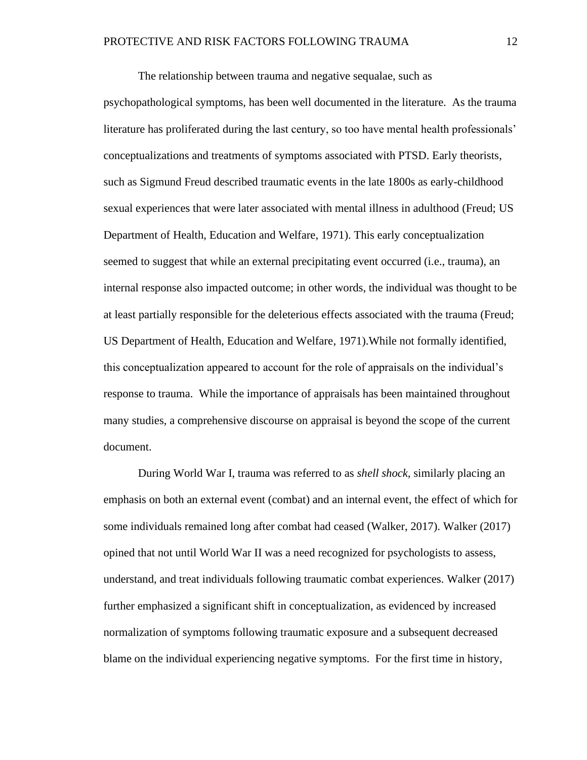The relationship between trauma and negative sequalae, such as

psychopathological symptoms, has been well documented in the literature. As the trauma literature has proliferated during the last century, so too have mental health professionals' conceptualizations and treatments of symptoms associated with PTSD. Early theorists, such as Sigmund Freud described traumatic events in the late 1800s as early-childhood sexual experiences that were later associated with mental illness in adulthood (Freud; US Department of Health, Education and Welfare, 1971). This early conceptualization seemed to suggest that while an external precipitating event occurred (i.e., trauma), an internal response also impacted outcome; in other words, the individual was thought to be at least partially responsible for the deleterious effects associated with the trauma (Freud; US Department of Health, Education and Welfare, 1971).While not formally identified, this conceptualization appeared to account for the role of appraisals on the individual's response to trauma. While the importance of appraisals has been maintained throughout many studies, a comprehensive discourse on appraisal is beyond the scope of the current document.

During World War I, trauma was referred to as *shell shock,* similarly placing an emphasis on both an external event (combat) and an internal event, the effect of which for some individuals remained long after combat had ceased (Walker, 2017). Walker (2017) opined that not until World War II was a need recognized for psychologists to assess, understand, and treat individuals following traumatic combat experiences. Walker (2017) further emphasized a significant shift in conceptualization, as evidenced by increased normalization of symptoms following traumatic exposure and a subsequent decreased blame on the individual experiencing negative symptoms. For the first time in history,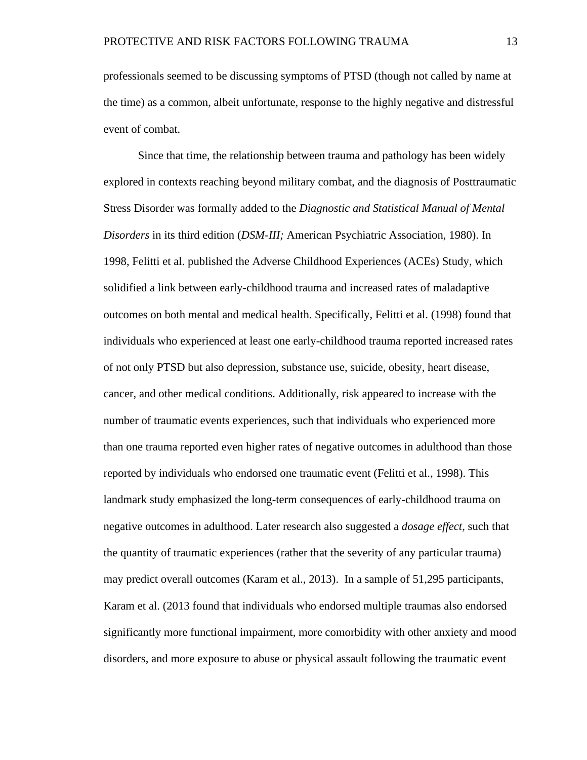professionals seemed to be discussing symptoms of PTSD (though not called by name at the time) as a common, albeit unfortunate, response to the highly negative and distressful event of combat.

Since that time, the relationship between trauma and pathology has been widely explored in contexts reaching beyond military combat, and the diagnosis of Posttraumatic Stress Disorder was formally added to the *Diagnostic and Statistical Manual of Mental Disorders* in its third edition (*DSM-III;* American Psychiatric Association, 1980). In 1998, Felitti et al. published the Adverse Childhood Experiences (ACEs) Study, which solidified a link between early-childhood trauma and increased rates of maladaptive outcomes on both mental and medical health. Specifically, Felitti et al. (1998) found that individuals who experienced at least one early-childhood trauma reported increased rates of not only PTSD but also depression, substance use, suicide, obesity, heart disease, cancer, and other medical conditions. Additionally, risk appeared to increase with the number of traumatic events experiences, such that individuals who experienced more than one trauma reported even higher rates of negative outcomes in adulthood than those reported by individuals who endorsed one traumatic event (Felitti et al., 1998). This landmark study emphasized the long-term consequences of early-childhood trauma on negative outcomes in adulthood. Later research also suggested a *dosage effect*, such that the quantity of traumatic experiences (rather that the severity of any particular trauma) may predict overall outcomes (Karam et al., 2013). In a sample of 51,295 participants, Karam et al. (2013 found that individuals who endorsed multiple traumas also endorsed significantly more functional impairment, more comorbidity with other anxiety and mood disorders, and more exposure to abuse or physical assault following the traumatic event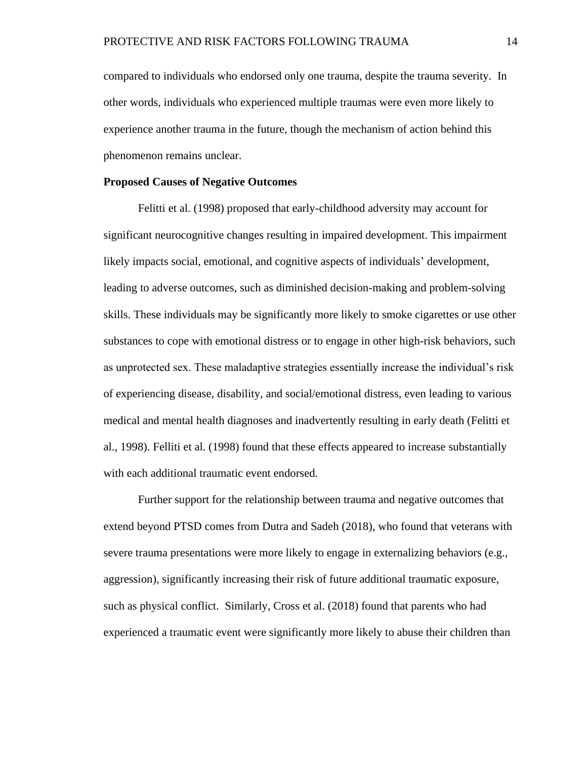compared to individuals who endorsed only one trauma, despite the trauma severity. In other words, individuals who experienced multiple traumas were even more likely to experience another trauma in the future, though the mechanism of action behind this phenomenon remains unclear.

#### **Proposed Causes of Negative Outcomes**

Felitti et al. (1998) proposed that early-childhood adversity may account for significant neurocognitive changes resulting in impaired development. This impairment likely impacts social, emotional, and cognitive aspects of individuals' development, leading to adverse outcomes, such as diminished decision-making and problem-solving skills. These individuals may be significantly more likely to smoke cigarettes or use other substances to cope with emotional distress or to engage in other high-risk behaviors, such as unprotected sex. These maladaptive strategies essentially increase the individual's risk of experiencing disease, disability, and social/emotional distress, even leading to various medical and mental health diagnoses and inadvertently resulting in early death (Felitti et al., 1998). Felliti et al. (1998) found that these effects appeared to increase substantially with each additional traumatic event endorsed.

Further support for the relationship between trauma and negative outcomes that extend beyond PTSD comes from Dutra and Sadeh (2018), who found that veterans with severe trauma presentations were more likely to engage in externalizing behaviors (e.g., aggression), significantly increasing their risk of future additional traumatic exposure, such as physical conflict. Similarly, Cross et al. (2018) found that parents who had experienced a traumatic event were significantly more likely to abuse their children than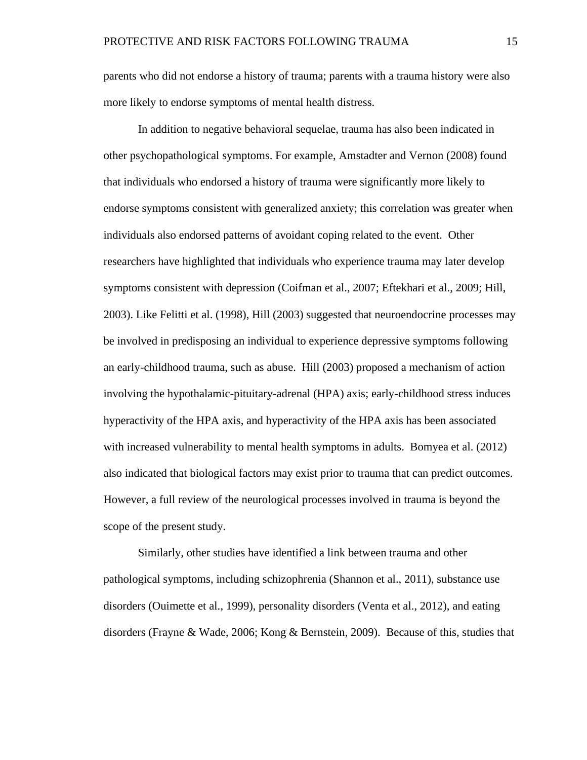parents who did not endorse a history of trauma; parents with a trauma history were also more likely to endorse symptoms of mental health distress.

In addition to negative behavioral sequelae, trauma has also been indicated in other psychopathological symptoms. For example, Amstadter and Vernon (2008) found that individuals who endorsed a history of trauma were significantly more likely to endorse symptoms consistent with generalized anxiety; this correlation was greater when individuals also endorsed patterns of avoidant coping related to the event. Other researchers have highlighted that individuals who experience trauma may later develop symptoms consistent with depression (Coifman et al., 2007; Eftekhari et al., 2009; Hill, 2003). Like Felitti et al. (1998), Hill (2003) suggested that neuroendocrine processes may be involved in predisposing an individual to experience depressive symptoms following an early-childhood trauma, such as abuse. Hill (2003) proposed a mechanism of action involving the hypothalamic-pituitary-adrenal (HPA) axis; early-childhood stress induces hyperactivity of the HPA axis, and hyperactivity of the HPA axis has been associated with increased vulnerability to mental health symptoms in adults. Bomyea et al. (2012) also indicated that biological factors may exist prior to trauma that can predict outcomes. However, a full review of the neurological processes involved in trauma is beyond the scope of the present study.

Similarly, other studies have identified a link between trauma and other pathological symptoms, including schizophrenia (Shannon et al., 2011), substance use disorders (Ouimette et al., 1999), personality disorders (Venta et al., 2012), and eating disorders (Frayne & Wade, 2006; Kong & Bernstein, 2009). Because of this, studies that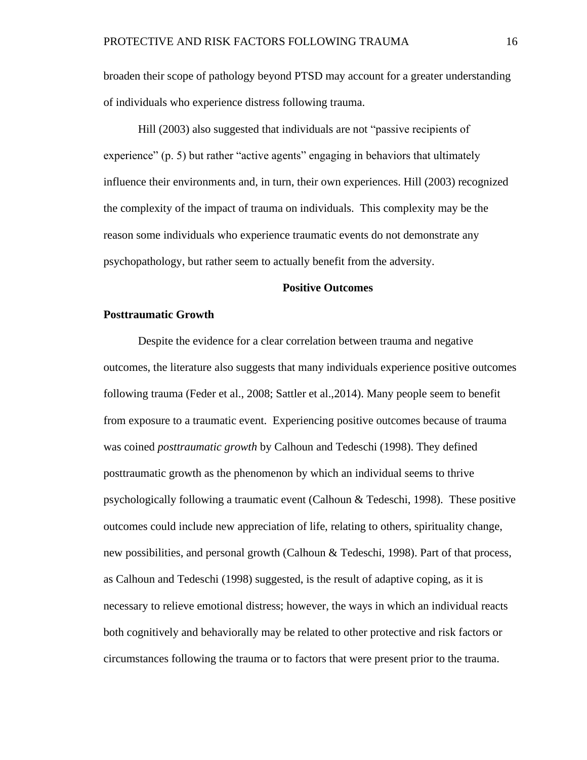broaden their scope of pathology beyond PTSD may account for a greater understanding of individuals who experience distress following trauma.

Hill (2003) also suggested that individuals are not "passive recipients of experience" (p. 5) but rather "active agents" engaging in behaviors that ultimately influence their environments and, in turn, their own experiences. Hill (2003) recognized the complexity of the impact of trauma on individuals. This complexity may be the reason some individuals who experience traumatic events do not demonstrate any psychopathology, but rather seem to actually benefit from the adversity.

#### **Positive Outcomes**

#### **Posttraumatic Growth**

Despite the evidence for a clear correlation between trauma and negative outcomes, the literature also suggests that many individuals experience positive outcomes following trauma (Feder et al., 2008; Sattler et al.,2014). Many people seem to benefit from exposure to a traumatic event. Experiencing positive outcomes because of trauma was coined *posttraumatic growth* by Calhoun and Tedeschi (1998). They defined posttraumatic growth as the phenomenon by which an individual seems to thrive psychologically following a traumatic event (Calhoun & Tedeschi, 1998). These positive outcomes could include new appreciation of life, relating to others, spirituality change, new possibilities, and personal growth (Calhoun & Tedeschi, 1998). Part of that process, as Calhoun and Tedeschi (1998) suggested, is the result of adaptive coping, as it is necessary to relieve emotional distress; however, the ways in which an individual reacts both cognitively and behaviorally may be related to other protective and risk factors or circumstances following the trauma or to factors that were present prior to the trauma.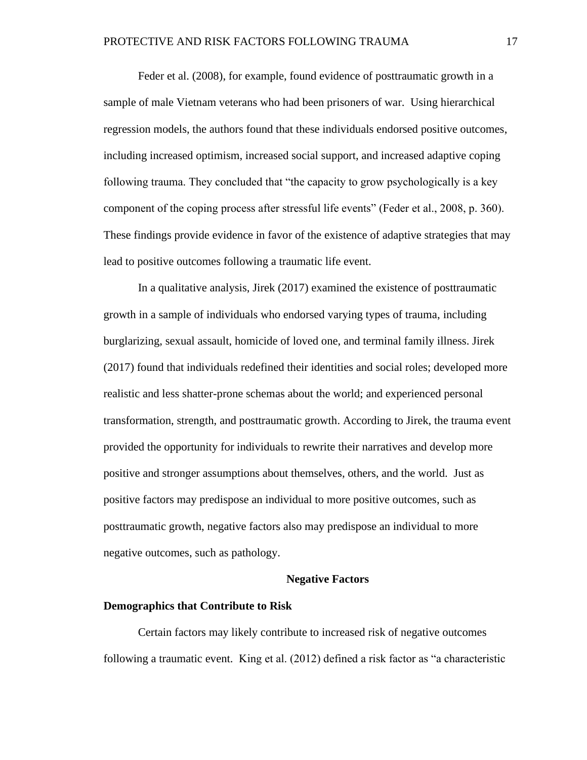Feder et al. (2008), for example, found evidence of posttraumatic growth in a sample of male Vietnam veterans who had been prisoners of war. Using hierarchical regression models, the authors found that these individuals endorsed positive outcomes, including increased optimism, increased social support, and increased adaptive coping following trauma. They concluded that "the capacity to grow psychologically is a key component of the coping process after stressful life events" (Feder et al., 2008, p. 360). These findings provide evidence in favor of the existence of adaptive strategies that may lead to positive outcomes following a traumatic life event.

In a qualitative analysis, Jirek (2017) examined the existence of posttraumatic growth in a sample of individuals who endorsed varying types of trauma, including burglarizing, sexual assault, homicide of loved one, and terminal family illness. Jirek (2017) found that individuals redefined their identities and social roles; developed more realistic and less shatter-prone schemas about the world; and experienced personal transformation, strength, and posttraumatic growth. According to Jirek, the trauma event provided the opportunity for individuals to rewrite their narratives and develop more positive and stronger assumptions about themselves, others, and the world. Just as positive factors may predispose an individual to more positive outcomes, such as posttraumatic growth, negative factors also may predispose an individual to more negative outcomes, such as pathology.

#### **Negative Factors**

#### **Demographics that Contribute to Risk**

Certain factors may likely contribute to increased risk of negative outcomes following a traumatic event. King et al. (2012) defined a risk factor as "a characteristic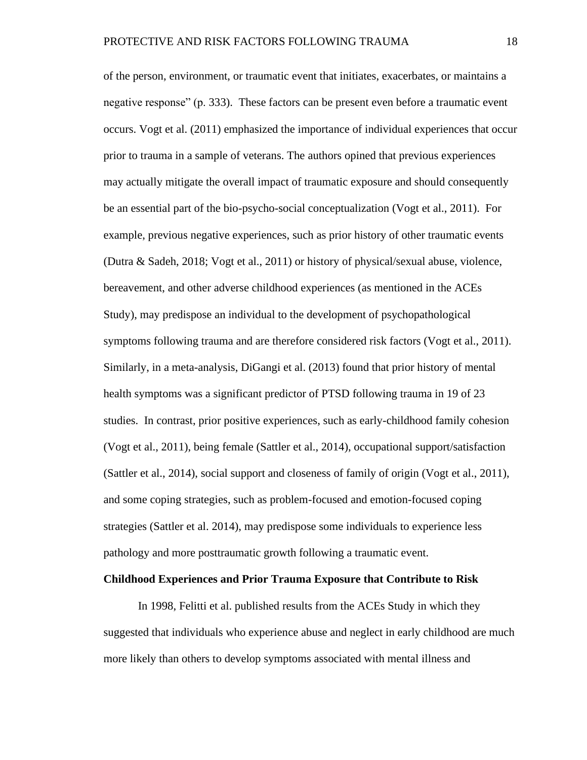of the person, environment, or traumatic event that initiates, exacerbates, or maintains a negative response" (p. 333). These factors can be present even before a traumatic event occurs. Vogt et al. (2011) emphasized the importance of individual experiences that occur prior to trauma in a sample of veterans. The authors opined that previous experiences may actually mitigate the overall impact of traumatic exposure and should consequently be an essential part of the bio-psycho-social conceptualization (Vogt et al., 2011). For example, previous negative experiences, such as prior history of other traumatic events (Dutra & Sadeh, 2018; Vogt et al., 2011) or history of physical/sexual abuse, violence, bereavement, and other adverse childhood experiences (as mentioned in the ACEs Study), may predispose an individual to the development of psychopathological symptoms following trauma and are therefore considered risk factors (Vogt et al., 2011). Similarly, in a meta-analysis, DiGangi et al. (2013) found that prior history of mental health symptoms was a significant predictor of PTSD following trauma in 19 of 23 studies. In contrast, prior positive experiences, such as early-childhood family cohesion (Vogt et al., 2011), being female (Sattler et al., 2014), occupational support/satisfaction (Sattler et al., 2014), social support and closeness of family of origin (Vogt et al., 2011), and some coping strategies, such as problem-focused and emotion-focused coping strategies (Sattler et al. 2014), may predispose some individuals to experience less pathology and more posttraumatic growth following a traumatic event.

#### **Childhood Experiences and Prior Trauma Exposure that Contribute to Risk**

In 1998, Felitti et al. published results from the ACEs Study in which they suggested that individuals who experience abuse and neglect in early childhood are much more likely than others to develop symptoms associated with mental illness and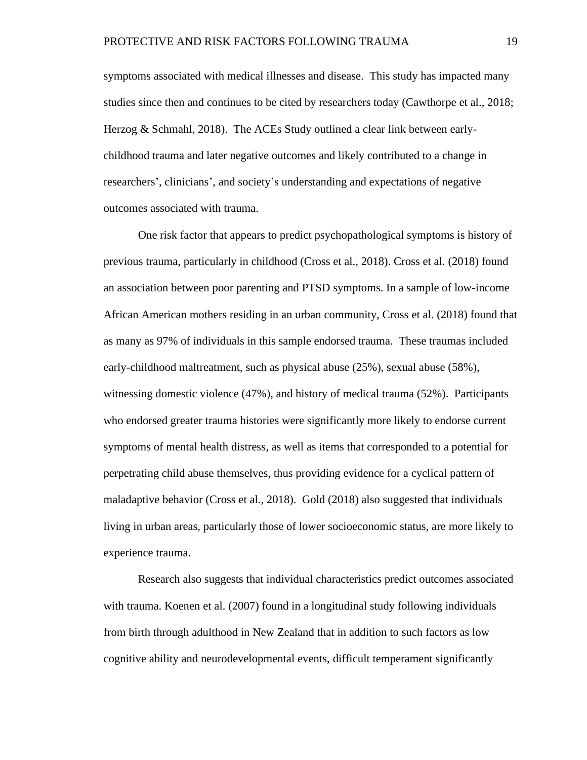symptoms associated with medical illnesses and disease. This study has impacted many studies since then and continues to be cited by researchers today (Cawthorpe et al., 2018; Herzog & Schmahl, 2018). The ACEs Study outlined a clear link between earlychildhood trauma and later negative outcomes and likely contributed to a change in researchers', clinicians', and society's understanding and expectations of negative outcomes associated with trauma.

One risk factor that appears to predict psychopathological symptoms is history of previous trauma, particularly in childhood (Cross et al., 2018). Cross et al. (2018) found an association between poor parenting and PTSD symptoms. In a sample of low-income African American mothers residing in an urban community, Cross et al. (2018) found that as many as 97% of individuals in this sample endorsed trauma. These traumas included early-childhood maltreatment, such as physical abuse (25%), sexual abuse (58%), witnessing domestic violence (47%), and history of medical trauma (52%). Participants who endorsed greater trauma histories were significantly more likely to endorse current symptoms of mental health distress, as well as items that corresponded to a potential for perpetrating child abuse themselves, thus providing evidence for a cyclical pattern of maladaptive behavior (Cross et al., 2018). Gold (2018) also suggested that individuals living in urban areas, particularly those of lower socioeconomic status, are more likely to experience trauma.

Research also suggests that individual characteristics predict outcomes associated with trauma. Koenen et al. (2007) found in a longitudinal study following individuals from birth through adulthood in New Zealand that in addition to such factors as low cognitive ability and neurodevelopmental events, difficult temperament significantly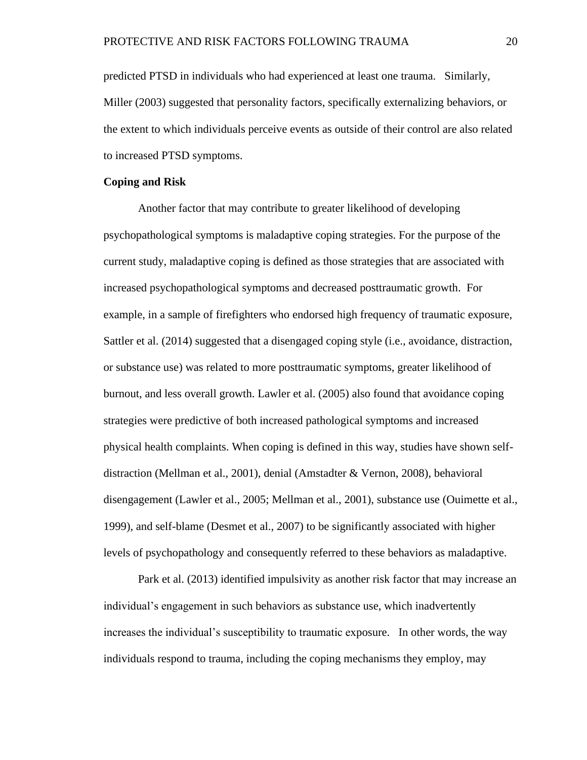predicted PTSD in individuals who had experienced at least one trauma. Similarly, Miller (2003) suggested that personality factors, specifically externalizing behaviors, or the extent to which individuals perceive events as outside of their control are also related to increased PTSD symptoms.

#### **Coping and Risk**

Another factor that may contribute to greater likelihood of developing psychopathological symptoms is maladaptive coping strategies. For the purpose of the current study, maladaptive coping is defined as those strategies that are associated with increased psychopathological symptoms and decreased posttraumatic growth. For example, in a sample of firefighters who endorsed high frequency of traumatic exposure, Sattler et al. (2014) suggested that a disengaged coping style (i.e., avoidance, distraction, or substance use) was related to more posttraumatic symptoms, greater likelihood of burnout, and less overall growth. Lawler et al. (2005) also found that avoidance coping strategies were predictive of both increased pathological symptoms and increased physical health complaints. When coping is defined in this way, studies have shown selfdistraction (Mellman et al., 2001), denial (Amstadter & Vernon, 2008), behavioral disengagement (Lawler et al., 2005; Mellman et al., 2001), substance use (Ouimette et al., 1999), and self-blame (Desmet et al., 2007) to be significantly associated with higher levels of psychopathology and consequently referred to these behaviors as maladaptive.

Park et al. (2013) identified impulsivity as another risk factor that may increase an individual's engagement in such behaviors as substance use, which inadvertently increases the individual's susceptibility to traumatic exposure. In other words, the way individuals respond to trauma, including the coping mechanisms they employ, may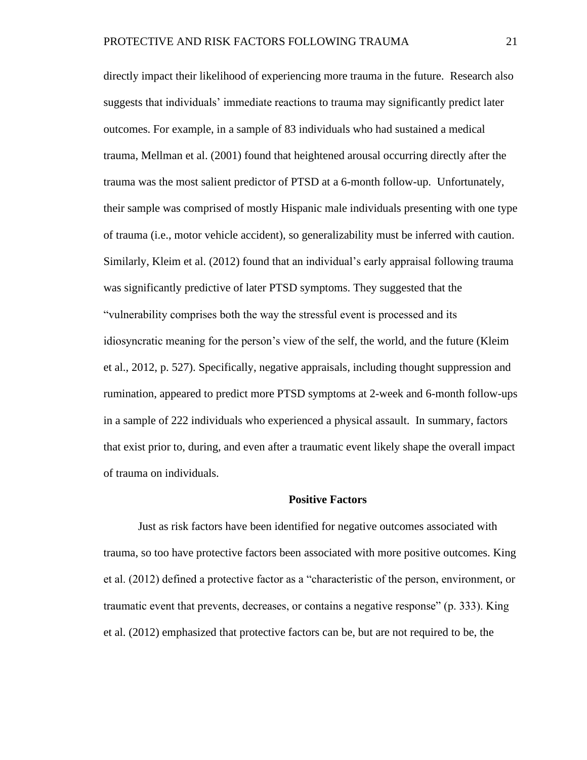directly impact their likelihood of experiencing more trauma in the future. Research also suggests that individuals' immediate reactions to trauma may significantly predict later outcomes. For example, in a sample of 83 individuals who had sustained a medical trauma, Mellman et al. (2001) found that heightened arousal occurring directly after the trauma was the most salient predictor of PTSD at a 6-month follow-up. Unfortunately, their sample was comprised of mostly Hispanic male individuals presenting with one type of trauma (i.e., motor vehicle accident), so generalizability must be inferred with caution. Similarly, Kleim et al. (2012) found that an individual's early appraisal following trauma was significantly predictive of later PTSD symptoms. They suggested that the "vulnerability comprises both the way the stressful event is processed and its idiosyncratic meaning for the person's view of the self, the world, and the future (Kleim et al., 2012, p. 527). Specifically, negative appraisals, including thought suppression and rumination, appeared to predict more PTSD symptoms at 2-week and 6-month follow-ups in a sample of 222 individuals who experienced a physical assault. In summary, factors that exist prior to, during, and even after a traumatic event likely shape the overall impact of trauma on individuals.

#### **Positive Factors**

Just as risk factors have been identified for negative outcomes associated with trauma, so too have protective factors been associated with more positive outcomes. King et al. (2012) defined a protective factor as a "characteristic of the person, environment, or traumatic event that prevents, decreases, or contains a negative response" (p. 333). King et al. (2012) emphasized that protective factors can be, but are not required to be, the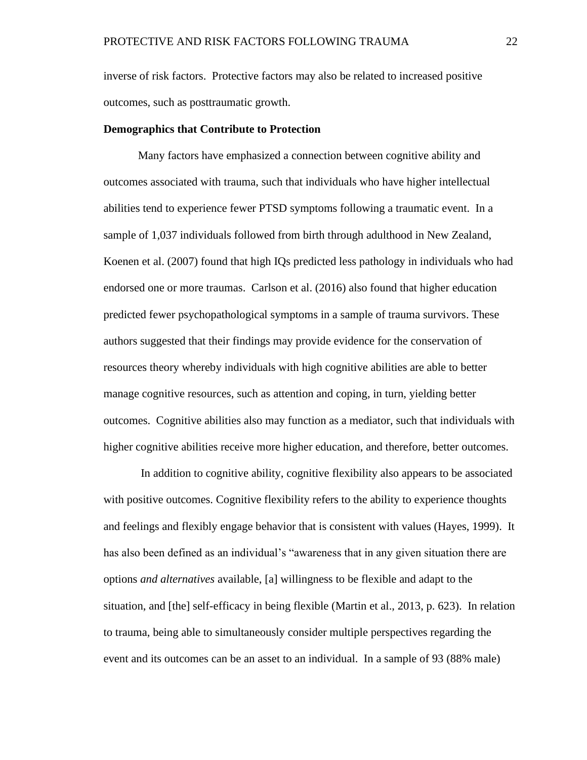inverse of risk factors. Protective factors may also be related to increased positive outcomes, such as posttraumatic growth.

#### **Demographics that Contribute to Protection**

Many factors have emphasized a connection between cognitive ability and outcomes associated with trauma, such that individuals who have higher intellectual abilities tend to experience fewer PTSD symptoms following a traumatic event. In a sample of 1,037 individuals followed from birth through adulthood in New Zealand, Koenen et al. (2007) found that high IQs predicted less pathology in individuals who had endorsed one or more traumas. Carlson et al. (2016) also found that higher education predicted fewer psychopathological symptoms in a sample of trauma survivors. These authors suggested that their findings may provide evidence for the conservation of resources theory whereby individuals with high cognitive abilities are able to better manage cognitive resources, such as attention and coping, in turn, yielding better outcomes. Cognitive abilities also may function as a mediator, such that individuals with higher cognitive abilities receive more higher education, and therefore, better outcomes.

In addition to cognitive ability, cognitive flexibility also appears to be associated with positive outcomes. Cognitive flexibility refers to the ability to experience thoughts and feelings and flexibly engage behavior that is consistent with values (Hayes, 1999). It has also been defined as an individual's "awareness that in any given situation there are options *and alternatives* available, [a] willingness to be flexible and adapt to the situation, and [the] self-efficacy in being flexible (Martin et al., 2013, p. 623). In relation to trauma, being able to simultaneously consider multiple perspectives regarding the event and its outcomes can be an asset to an individual. In a sample of 93 (88% male)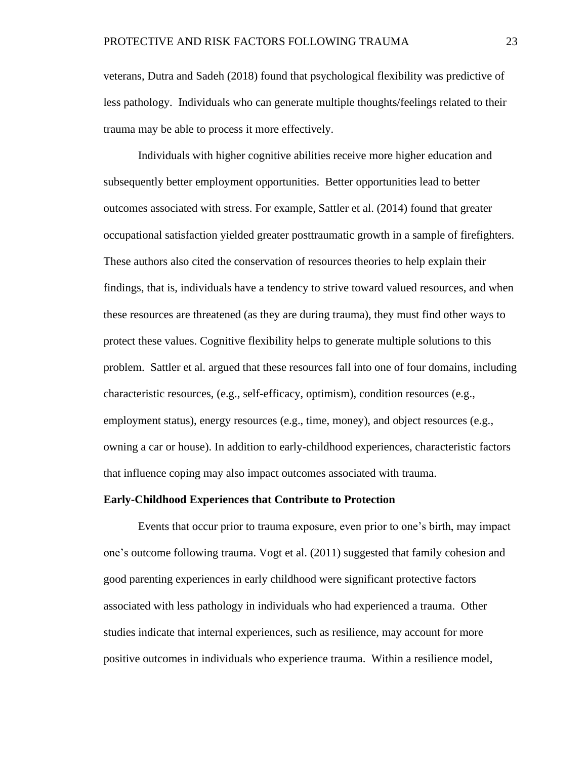veterans, Dutra and Sadeh (2018) found that psychological flexibility was predictive of less pathology. Individuals who can generate multiple thoughts/feelings related to their trauma may be able to process it more effectively.

Individuals with higher cognitive abilities receive more higher education and subsequently better employment opportunities. Better opportunities lead to better outcomes associated with stress. For example, Sattler et al. (2014) found that greater occupational satisfaction yielded greater posttraumatic growth in a sample of firefighters. These authors also cited the conservation of resources theories to help explain their findings, that is, individuals have a tendency to strive toward valued resources, and when these resources are threatened (as they are during trauma), they must find other ways to protect these values. Cognitive flexibility helps to generate multiple solutions to this problem. Sattler et al. argued that these resources fall into one of four domains, including characteristic resources, (e.g., self-efficacy, optimism), condition resources (e.g., employment status), energy resources (e.g., time, money), and object resources (e.g., owning a car or house). In addition to early-childhood experiences, characteristic factors that influence coping may also impact outcomes associated with trauma.

#### **Early-Childhood Experiences that Contribute to Protection**

Events that occur prior to trauma exposure, even prior to one's birth, may impact one's outcome following trauma. Vogt et al. (2011) suggested that family cohesion and good parenting experiences in early childhood were significant protective factors associated with less pathology in individuals who had experienced a trauma. Other studies indicate that internal experiences, such as resilience, may account for more positive outcomes in individuals who experience trauma. Within a resilience model,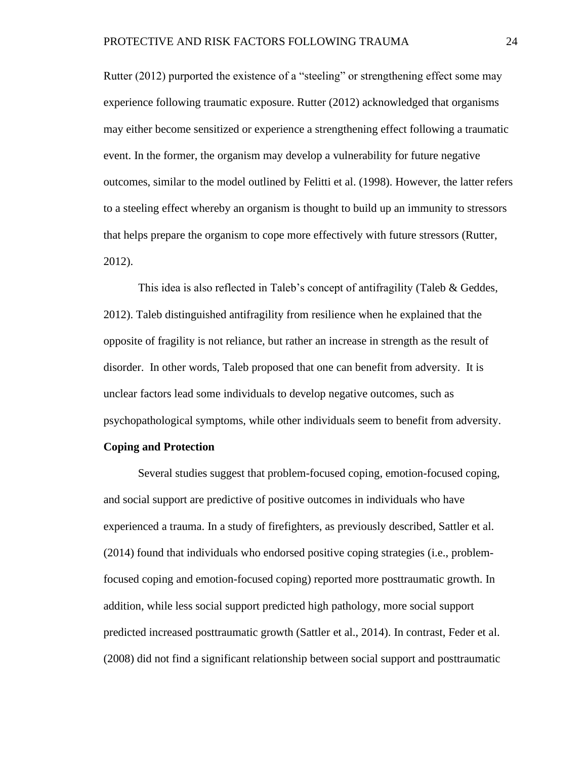Rutter (2012) purported the existence of a "steeling" or strengthening effect some may experience following traumatic exposure. Rutter (2012) acknowledged that organisms may either become sensitized or experience a strengthening effect following a traumatic event. In the former, the organism may develop a vulnerability for future negative outcomes, similar to the model outlined by Felitti et al. (1998). However, the latter refers to a steeling effect whereby an organism is thought to build up an immunity to stressors that helps prepare the organism to cope more effectively with future stressors (Rutter, 2012).

This idea is also reflected in Taleb's concept of antifragility (Taleb & Geddes, 2012). Taleb distinguished antifragility from resilience when he explained that the opposite of fragility is not reliance, but rather an increase in strength as the result of disorder. In other words, Taleb proposed that one can benefit from adversity. It is unclear factors lead some individuals to develop negative outcomes, such as psychopathological symptoms, while other individuals seem to benefit from adversity.

#### **Coping and Protection**

Several studies suggest that problem-focused coping, emotion-focused coping, and social support are predictive of positive outcomes in individuals who have experienced a trauma. In a study of firefighters, as previously described, Sattler et al. (2014) found that individuals who endorsed positive coping strategies (i.e., problemfocused coping and emotion-focused coping) reported more posttraumatic growth. In addition, while less social support predicted high pathology, more social support predicted increased posttraumatic growth (Sattler et al., 2014). In contrast, Feder et al. (2008) did not find a significant relationship between social support and posttraumatic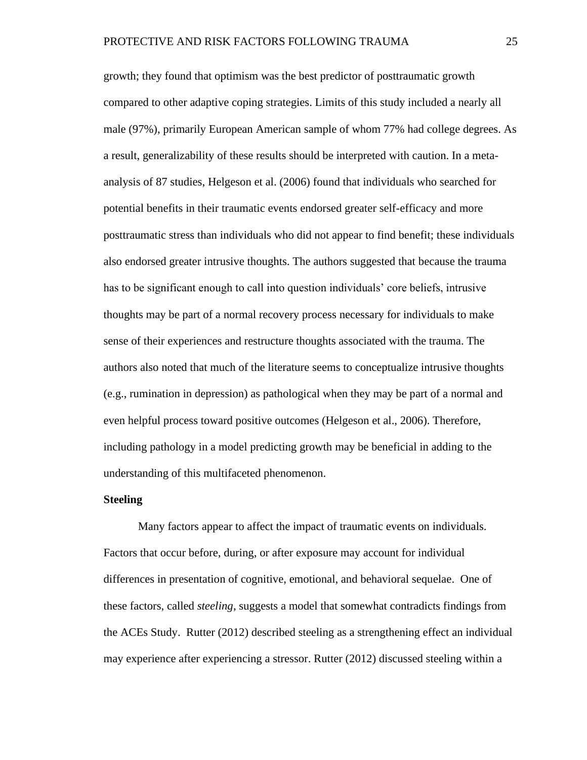growth; they found that optimism was the best predictor of posttraumatic growth compared to other adaptive coping strategies. Limits of this study included a nearly all male (97%), primarily European American sample of whom 77% had college degrees. As a result, generalizability of these results should be interpreted with caution. In a metaanalysis of 87 studies, Helgeson et al. (2006) found that individuals who searched for potential benefits in their traumatic events endorsed greater self-efficacy and more posttraumatic stress than individuals who did not appear to find benefit; these individuals also endorsed greater intrusive thoughts. The authors suggested that because the trauma has to be significant enough to call into question individuals' core beliefs, intrusive thoughts may be part of a normal recovery process necessary for individuals to make sense of their experiences and restructure thoughts associated with the trauma. The authors also noted that much of the literature seems to conceptualize intrusive thoughts (e.g., rumination in depression) as pathological when they may be part of a normal and even helpful process toward positive outcomes (Helgeson et al., 2006). Therefore, including pathology in a model predicting growth may be beneficial in adding to the understanding of this multifaceted phenomenon.

#### **Steeling**

Many factors appear to affect the impact of traumatic events on individuals. Factors that occur before, during, or after exposure may account for individual differences in presentation of cognitive, emotional, and behavioral sequelae. One of these factors, called *steeling*, suggests a model that somewhat contradicts findings from the ACEs Study. Rutter (2012) described steeling as a strengthening effect an individual may experience after experiencing a stressor. Rutter (2012) discussed steeling within a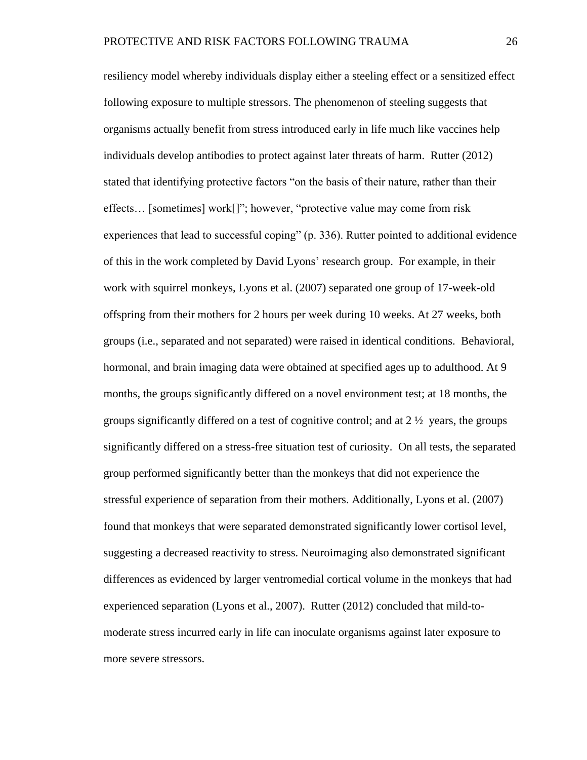resiliency model whereby individuals display either a steeling effect or a sensitized effect following exposure to multiple stressors. The phenomenon of steeling suggests that organisms actually benefit from stress introduced early in life much like vaccines help individuals develop antibodies to protect against later threats of harm. Rutter (2012) stated that identifying protective factors "on the basis of their nature, rather than their effects… [sometimes] work[]"; however, "protective value may come from risk experiences that lead to successful coping" (p. 336). Rutter pointed to additional evidence of this in the work completed by David Lyons' research group. For example, in their work with squirrel monkeys, Lyons et al. (2007) separated one group of 17-week-old offspring from their mothers for 2 hours per week during 10 weeks. At 27 weeks, both groups (i.e., separated and not separated) were raised in identical conditions. Behavioral, hormonal, and brain imaging data were obtained at specified ages up to adulthood. At 9 months, the groups significantly differed on a novel environment test; at 18 months, the groups significantly differed on a test of cognitive control; and at  $2\frac{1}{2}$  years, the groups significantly differed on a stress-free situation test of curiosity. On all tests, the separated group performed significantly better than the monkeys that did not experience the stressful experience of separation from their mothers. Additionally, Lyons et al. (2007) found that monkeys that were separated demonstrated significantly lower cortisol level, suggesting a decreased reactivity to stress. Neuroimaging also demonstrated significant differences as evidenced by larger ventromedial cortical volume in the monkeys that had experienced separation (Lyons et al., 2007). Rutter (2012) concluded that mild-tomoderate stress incurred early in life can inoculate organisms against later exposure to more severe stressors.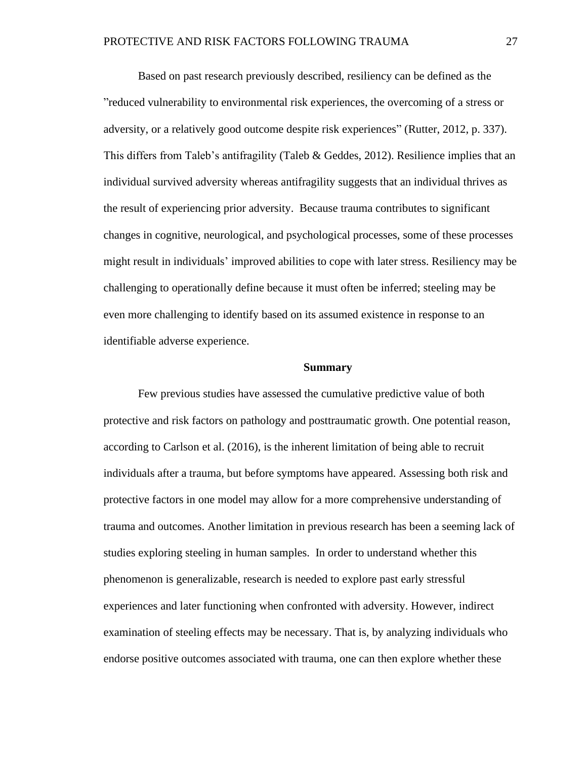Based on past research previously described, resiliency can be defined as the "reduced vulnerability to environmental risk experiences, the overcoming of a stress or adversity, or a relatively good outcome despite risk experiences" (Rutter, 2012, p. 337). This differs from Taleb's antifragility (Taleb & Geddes, 2012). Resilience implies that an individual survived adversity whereas antifragility suggests that an individual thrives as the result of experiencing prior adversity. Because trauma contributes to significant changes in cognitive, neurological, and psychological processes, some of these processes might result in individuals' improved abilities to cope with later stress. Resiliency may be challenging to operationally define because it must often be inferred; steeling may be even more challenging to identify based on its assumed existence in response to an identifiable adverse experience.

#### **Summary**

Few previous studies have assessed the cumulative predictive value of both protective and risk factors on pathology and posttraumatic growth. One potential reason, according to Carlson et al. (2016), is the inherent limitation of being able to recruit individuals after a trauma, but before symptoms have appeared. Assessing both risk and protective factors in one model may allow for a more comprehensive understanding of trauma and outcomes. Another limitation in previous research has been a seeming lack of studies exploring steeling in human samples. In order to understand whether this phenomenon is generalizable, research is needed to explore past early stressful experiences and later functioning when confronted with adversity. However, indirect examination of steeling effects may be necessary. That is, by analyzing individuals who endorse positive outcomes associated with trauma, one can then explore whether these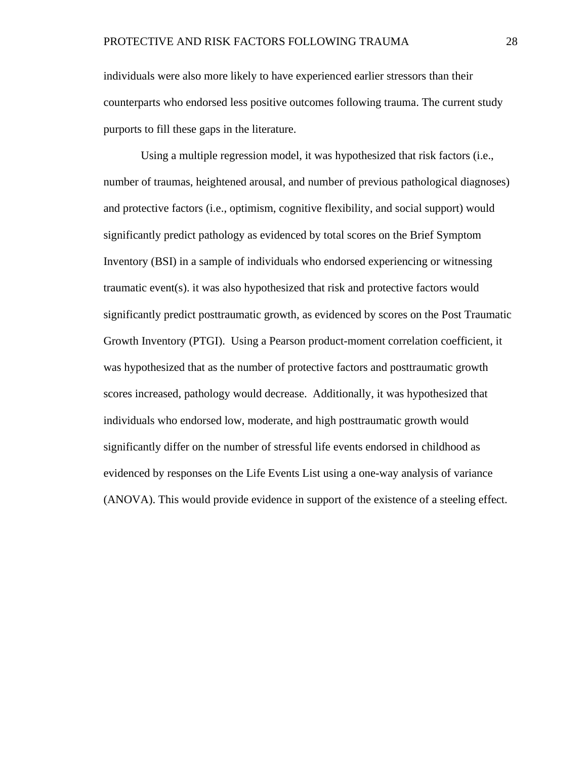individuals were also more likely to have experienced earlier stressors than their counterparts who endorsed less positive outcomes following trauma. The current study purports to fill these gaps in the literature.

 Using a multiple regression model, it was hypothesized that risk factors (i.e., number of traumas, heightened arousal, and number of previous pathological diagnoses) and protective factors (i.e., optimism, cognitive flexibility, and social support) would significantly predict pathology as evidenced by total scores on the Brief Symptom Inventory (BSI) in a sample of individuals who endorsed experiencing or witnessing traumatic event(s). it was also hypothesized that risk and protective factors would significantly predict posttraumatic growth, as evidenced by scores on the Post Traumatic Growth Inventory (PTGI). Using a Pearson product-moment correlation coefficient, it was hypothesized that as the number of protective factors and posttraumatic growth scores increased, pathology would decrease. Additionally, it was hypothesized that individuals who endorsed low, moderate, and high posttraumatic growth would significantly differ on the number of stressful life events endorsed in childhood as evidenced by responses on the Life Events List using a one-way analysis of variance (ANOVA). This would provide evidence in support of the existence of a steeling effect.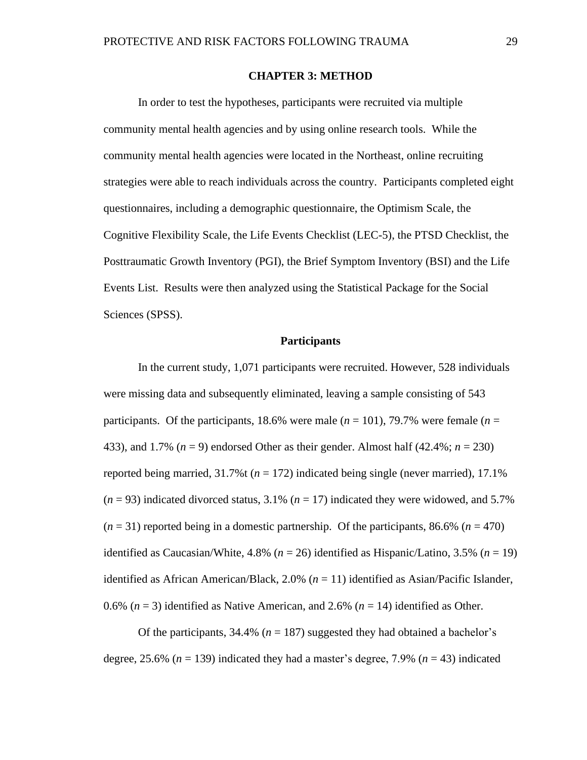#### **CHAPTER 3: METHOD**

In order to test the hypotheses, participants were recruited via multiple community mental health agencies and by using online research tools. While the community mental health agencies were located in the Northeast, online recruiting strategies were able to reach individuals across the country. Participants completed eight questionnaires, including a demographic questionnaire, the Optimism Scale, the Cognitive Flexibility Scale, the Life Events Checklist (LEC-5), the PTSD Checklist, the Posttraumatic Growth Inventory (PGI), the Brief Symptom Inventory (BSI) and the Life Events List. Results were then analyzed using the Statistical Package for the Social Sciences (SPSS).

#### **Participants**

In the current study, 1,071 participants were recruited. However, 528 individuals were missing data and subsequently eliminated, leaving a sample consisting of 543 participants. Of the participants, 18.6% were male  $(n = 101)$ , 79.7% were female  $(n = 101)$ 433), and 1.7%  $(n = 9)$  endorsed Other as their gender. Almost half  $(42.4\%; n = 230)$ reported being married,  $31.7\%$  ( $n = 172$ ) indicated being single (never married), 17.1%  $(n = 93)$  indicated divorced status,  $3.1\%$   $(n = 17)$  indicated they were widowed, and  $5.7\%$  $(n = 31)$  reported being in a domestic partnership. Of the participants, 86.6%  $(n = 470)$ identified as Caucasian/White, 4.8% (*n* = 26) identified as Hispanic/Latino, 3.5% (*n* = 19) identified as African American/Black, 2.0% (*n* = 11) identified as Asian/Pacific Islander, 0.6%  $(n = 3)$  identified as Native American, and 2.6%  $(n = 14)$  identified as Other.

Of the participants,  $34.4\%$  ( $n = 187$ ) suggested they had obtained a bachelor's degree,  $25.6\%$  ( $n = 139$ ) indicated they had a master's degree, 7.9% ( $n = 43$ ) indicated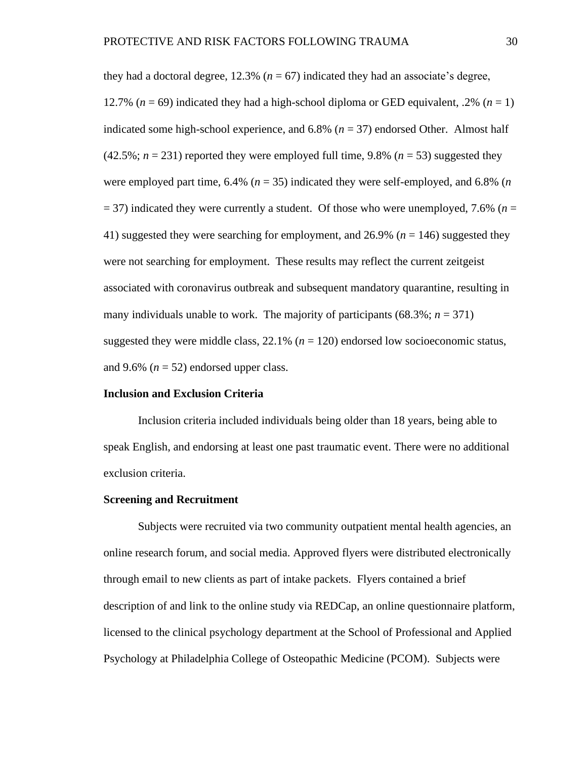they had a doctoral degree,  $12.3\%$  ( $n = 67$ ) indicated they had an associate's degree, 12.7% ( $n = 69$ ) indicated they had a high-school diploma or GED equivalent, .2% ( $n = 1$ ) indicated some high-school experience, and  $6.8\%$  ( $n = 37$ ) endorsed Other. Almost half  $(42.5\%; n = 231)$  reported they were employed full time, 9.8%  $(n = 53)$  suggested they were employed part time,  $6.4\%$  ( $n = 35$ ) indicated they were self-employed, and  $6.8\%$  ( $n$ )  $=$  37) indicated they were currently a student. Of those who were unemployed, 7.6% ( $n =$ 41) suggested they were searching for employment, and 26.9% (*n* = 146) suggested they were not searching for employment. These results may reflect the current zeitgeist associated with coronavirus outbreak and subsequent mandatory quarantine, resulting in many individuals unable to work. The majority of participants  $(68.3\%; n = 371)$ suggested they were middle class,  $22.1\%$  ( $n = 120$ ) endorsed low socioeconomic status, and 9.6%  $(n = 52)$  endorsed upper class.

#### **Inclusion and Exclusion Criteria**

Inclusion criteria included individuals being older than 18 years, being able to speak English, and endorsing at least one past traumatic event. There were no additional exclusion criteria.

#### **Screening and Recruitment**

Subjects were recruited via two community outpatient mental health agencies, an online research forum, and social media. Approved flyers were distributed electronically through email to new clients as part of intake packets. Flyers contained a brief description of and link to the online study via REDCap, an online questionnaire platform, licensed to the clinical psychology department at the School of Professional and Applied Psychology at Philadelphia College of Osteopathic Medicine (PCOM). Subjects were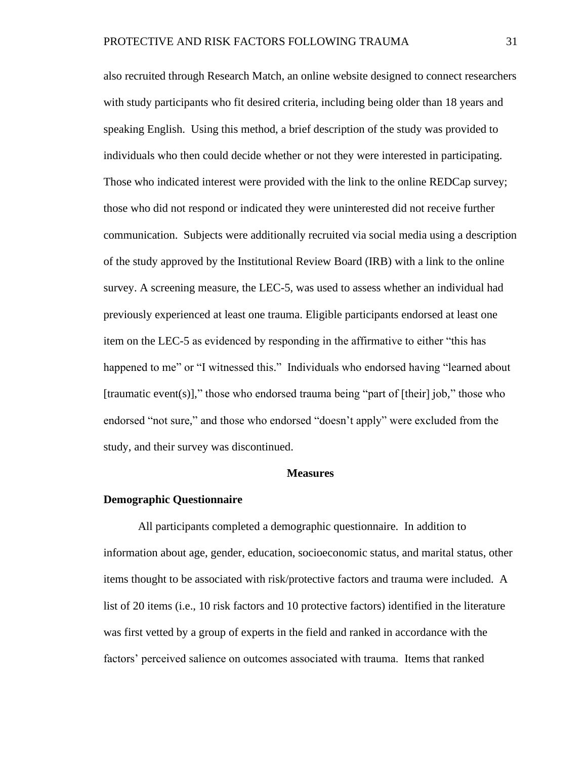also recruited through Research Match, an online website designed to connect researchers with study participants who fit desired criteria, including being older than 18 years and speaking English. Using this method, a brief description of the study was provided to individuals who then could decide whether or not they were interested in participating. Those who indicated interest were provided with the link to the online REDCap survey; those who did not respond or indicated they were uninterested did not receive further communication. Subjects were additionally recruited via social media using a description of the study approved by the Institutional Review Board (IRB) with a link to the online survey. A screening measure, the LEC-5, was used to assess whether an individual had previously experienced at least one trauma. Eligible participants endorsed at least one item on the LEC-5 as evidenced by responding in the affirmative to either "this has happened to me" or "I witnessed this." Individuals who endorsed having "learned about [traumatic event(s)]," those who endorsed trauma being "part of [their] job," those who endorsed "not sure," and those who endorsed "doesn't apply" were excluded from the study, and their survey was discontinued.

#### **Measures**

#### **Demographic Questionnaire**

All participants completed a demographic questionnaire. In addition to information about age, gender, education, socioeconomic status, and marital status, other items thought to be associated with risk/protective factors and trauma were included. A list of 20 items (i.e., 10 risk factors and 10 protective factors) identified in the literature was first vetted by a group of experts in the field and ranked in accordance with the factors' perceived salience on outcomes associated with trauma. Items that ranked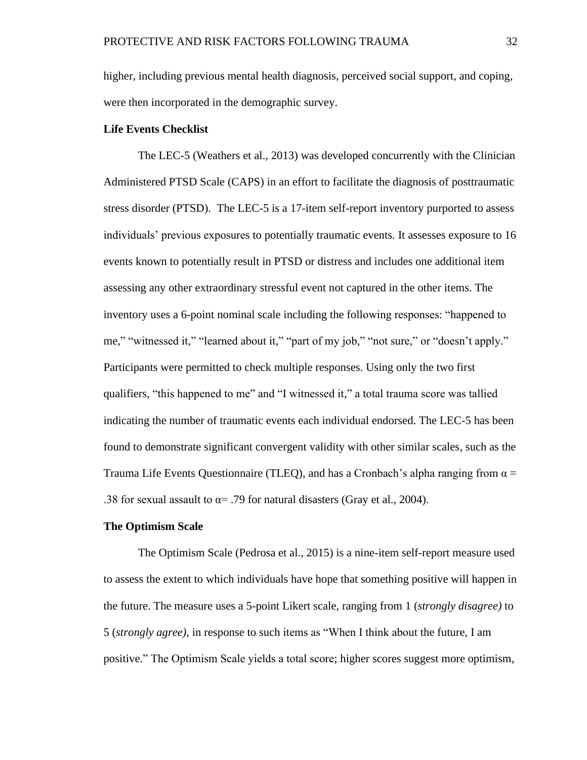higher, including previous mental health diagnosis, perceived social support, and coping, were then incorporated in the demographic survey.

#### **Life Events Checklist**

The LEC-5 (Weathers et al., 2013) was developed concurrently with the Clinician Administered PTSD Scale (CAPS) in an effort to facilitate the diagnosis of posttraumatic stress disorder (PTSD). The LEC-5 is a 17-item self-report inventory purported to assess individuals' previous exposures to potentially traumatic events. It assesses exposure to 16 events known to potentially result in PTSD or distress and includes one additional item assessing any other extraordinary stressful event not captured in the other items. The inventory uses a 6-point nominal scale including the following responses: "happened to me," "witnessed it," "learned about it," "part of my job," "not sure," or "doesn't apply." Participants were permitted to check multiple responses. Using only the two first qualifiers, "this happened to me" and "I witnessed it," a total trauma score was tallied indicating the number of traumatic events each individual endorsed. The LEC-5 has been found to demonstrate significant convergent validity with other similar scales, such as the Trauma Life Events Questionnaire (TLEQ), and has a Cronbach's alpha ranging from  $\alpha =$ .38 for sexual assault to  $\alpha$ = .79 for natural disasters (Gray et al., 2004).

#### **The Optimism Scale**

The Optimism Scale (Pedrosa et al., 2015) is a nine-item self-report measure used to assess the extent to which individuals have hope that something positive will happen in the future. The measure uses a 5-point Likert scale, ranging from 1 (*strongly disagree)* to 5 (*strongly agree),* in response to such items as "When I think about the future, I am positive." The Optimism Scale yields a total score; higher scores suggest more optimism,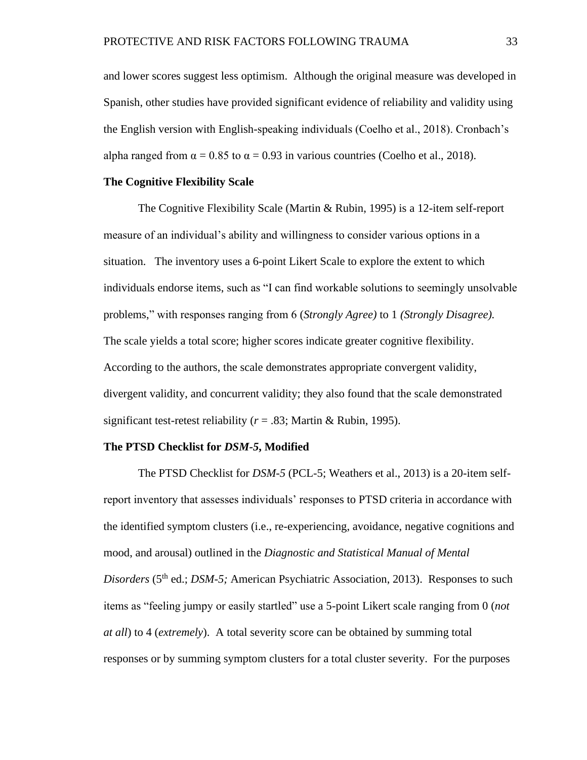and lower scores suggest less optimism. Although the original measure was developed in Spanish, other studies have provided significant evidence of reliability and validity using the English version with English-speaking individuals (Coelho et al., 2018). Cronbach's alpha ranged from  $\alpha = 0.85$  to  $\alpha = 0.93$  in various countries (Coelho et al., 2018).

#### **The Cognitive Flexibility Scale**

The Cognitive Flexibility Scale (Martin & Rubin, 1995) is a 12-item self-report measure of an individual's ability and willingness to consider various options in a situation. The inventory uses a 6-point Likert Scale to explore the extent to which individuals endorse items, such as "I can find workable solutions to seemingly unsolvable problems," with responses ranging from 6 (*Strongly Agree)* to 1 *(Strongly Disagree).* The scale yields a total score; higher scores indicate greater cognitive flexibility. According to the authors, the scale demonstrates appropriate convergent validity, divergent validity, and concurrent validity; they also found that the scale demonstrated significant test-retest reliability ( $r = .83$ ; Martin & Rubin, 1995).

#### **The PTSD Checklist for** *DSM-5***, Modified**

The PTSD Checklist for *DSM-5* (PCL-5; Weathers et al., 2013) is a 20-item selfreport inventory that assesses individuals' responses to PTSD criteria in accordance with the identified symptom clusters (i.e., re-experiencing, avoidance, negative cognitions and mood, and arousal) outlined in the *Diagnostic and Statistical Manual of Mental* Disorders (5<sup>th</sup> ed.; *DSM-5*; American Psychiatric Association, 2013). Responses to such items as "feeling jumpy or easily startled" use a 5-point Likert scale ranging from 0 (*not at all*) to 4 (*extremely*). A total severity score can be obtained by summing total responses or by summing symptom clusters for a total cluster severity. For the purposes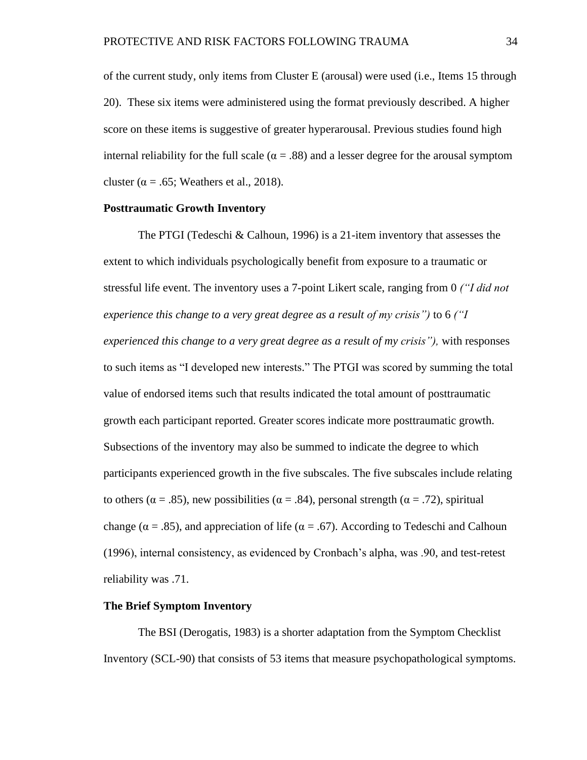of the current study, only items from Cluster E (arousal) were used (i.e., Items 15 through 20). These six items were administered using the format previously described. A higher score on these items is suggestive of greater hyperarousal. Previous studies found high internal reliability for the full scale ( $\alpha = .88$ ) and a lesser degree for the arousal symptom cluster ( $\alpha$  = .65; Weathers et al., 2018).

#### **Posttraumatic Growth Inventory**

The PTGI (Tedeschi & Calhoun, 1996) is a 21-item inventory that assesses the extent to which individuals psychologically benefit from exposure to a traumatic or stressful life event. The inventory uses a 7-point Likert scale, ranging from 0 *("I did not experience this change to a very great degree as a result of my crisis")* to 6 *("I experienced this change to a very great degree as a result of my crisis"),* with responses to such items as "I developed new interests." The PTGI was scored by summing the total value of endorsed items such that results indicated the total amount of posttraumatic growth each participant reported. Greater scores indicate more posttraumatic growth. Subsections of the inventory may also be summed to indicate the degree to which participants experienced growth in the five subscales. The five subscales include relating to others ( $\alpha = .85$ ), new possibilities ( $\alpha = .84$ ), personal strength ( $\alpha = .72$ ), spiritual change ( $\alpha = .85$ ), and appreciation of life ( $\alpha = .67$ ). According to Tedeschi and Calhoun (1996), internal consistency, as evidenced by Cronbach's alpha, was .90, and test-retest reliability was .71.

#### **The Brief Symptom Inventory**

The BSI (Derogatis, 1983) is a shorter adaptation from the Symptom Checklist Inventory (SCL-90) that consists of 53 items that measure psychopathological symptoms.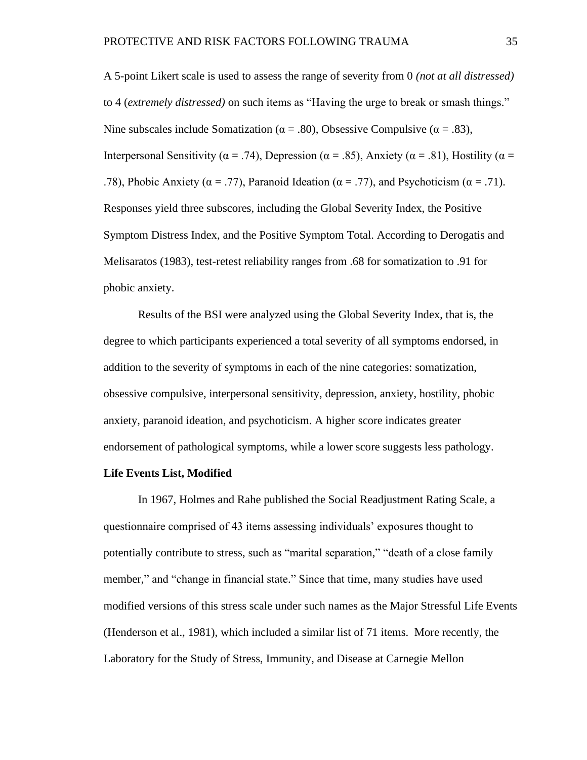A 5-point Likert scale is used to assess the range of severity from 0 *(not at all distressed)* to 4 (*extremely distressed)* on such items as "Having the urge to break or smash things." Nine subscales include Somatization ( $\alpha = .80$ ), Obsessive Compulsive ( $\alpha = .83$ ), Interpersonal Sensitivity ( $\alpha = .74$ ), Depression ( $\alpha = .85$ ), Anxiety ( $\alpha = .81$ ), Hostility ( $\alpha =$ .78), Phobic Anxiety ( $\alpha = .77$ ), Paranoid Ideation ( $\alpha = .77$ ), and Psychoticism ( $\alpha = .71$ ). Responses yield three subscores, including the Global Severity Index, the Positive Symptom Distress Index, and the Positive Symptom Total. According to Derogatis and Melisaratos (1983), test-retest reliability ranges from .68 for somatization to .91 for phobic anxiety.

Results of the BSI were analyzed using the Global Severity Index, that is, the degree to which participants experienced a total severity of all symptoms endorsed, in addition to the severity of symptoms in each of the nine categories: somatization, obsessive compulsive, interpersonal sensitivity, depression, anxiety, hostility, phobic anxiety, paranoid ideation, and psychoticism. A higher score indicates greater endorsement of pathological symptoms, while a lower score suggests less pathology.

#### **Life Events List, Modified**

In 1967, Holmes and Rahe published the Social Readjustment Rating Scale, a questionnaire comprised of 43 items assessing individuals' exposures thought to potentially contribute to stress, such as "marital separation," "death of a close family member," and "change in financial state." Since that time, many studies have used modified versions of this stress scale under such names as the Major Stressful Life Events (Henderson et al., 1981), which included a similar list of 71 items. More recently, the Laboratory for the Study of Stress, Immunity, and Disease at Carnegie Mellon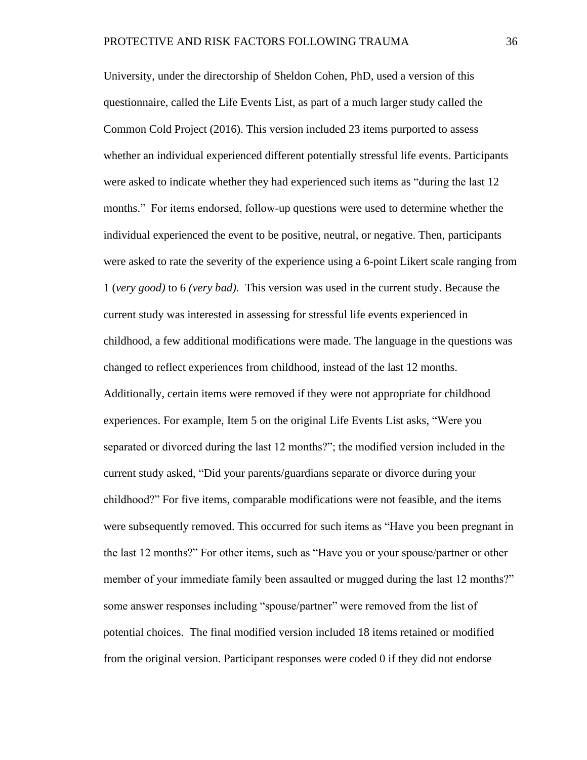University, under the directorship of Sheldon Cohen, PhD, used a version of this questionnaire, called the Life Events List, as part of a much larger study called the Common Cold Project (2016). This version included 23 items purported to assess whether an individual experienced different potentially stressful life events. Participants were asked to indicate whether they had experienced such items as "during the last 12 months." For items endorsed, follow-up questions were used to determine whether the individual experienced the event to be positive, neutral, or negative. Then, participants were asked to rate the severity of the experience using a 6-point Likert scale ranging from 1 (*very good)* to 6 *(very bad).* This version was used in the current study. Because the current study was interested in assessing for stressful life events experienced in childhood, a few additional modifications were made. The language in the questions was changed to reflect experiences from childhood, instead of the last 12 months. Additionally, certain items were removed if they were not appropriate for childhood experiences. For example, Item 5 on the original Life Events List asks, "Were you separated or divorced during the last 12 months?"; the modified version included in the current study asked, "Did your parents/guardians separate or divorce during your childhood?" For five items, comparable modifications were not feasible, and the items were subsequently removed. This occurred for such items as "Have you been pregnant in the last 12 months?" For other items, such as "Have you or your spouse/partner or other member of your immediate family been assaulted or mugged during the last 12 months?" some answer responses including "spouse/partner" were removed from the list of potential choices. The final modified version included 18 items retained or modified from the original version. Participant responses were coded 0 if they did not endorse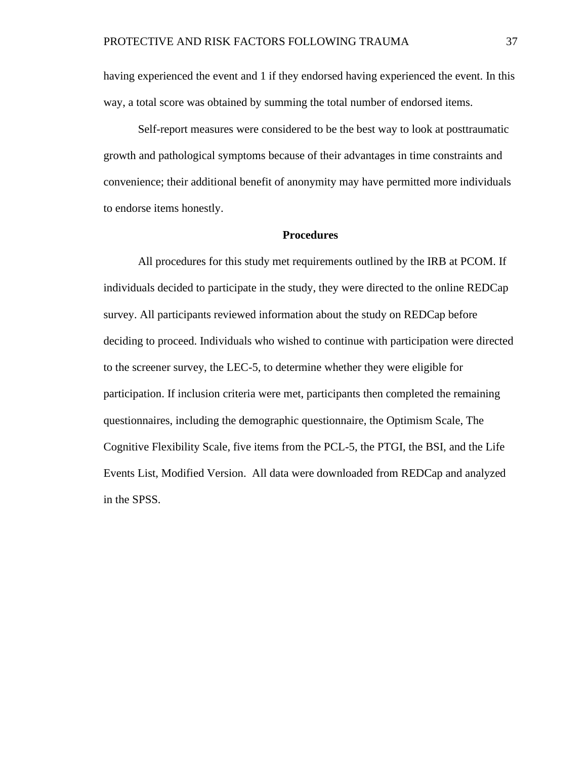having experienced the event and 1 if they endorsed having experienced the event. In this way, a total score was obtained by summing the total number of endorsed items.

Self-report measures were considered to be the best way to look at posttraumatic growth and pathological symptoms because of their advantages in time constraints and convenience; their additional benefit of anonymity may have permitted more individuals to endorse items honestly.

#### **Procedures**

All procedures for this study met requirements outlined by the IRB at PCOM. If individuals decided to participate in the study, they were directed to the online REDCap survey. All participants reviewed information about the study on REDCap before deciding to proceed. Individuals who wished to continue with participation were directed to the screener survey, the LEC-5, to determine whether they were eligible for participation. If inclusion criteria were met, participants then completed the remaining questionnaires, including the demographic questionnaire, the Optimism Scale, The Cognitive Flexibility Scale, five items from the PCL-5, the PTGI, the BSI, and the Life Events List, Modified Version. All data were downloaded from REDCap and analyzed in the SPSS.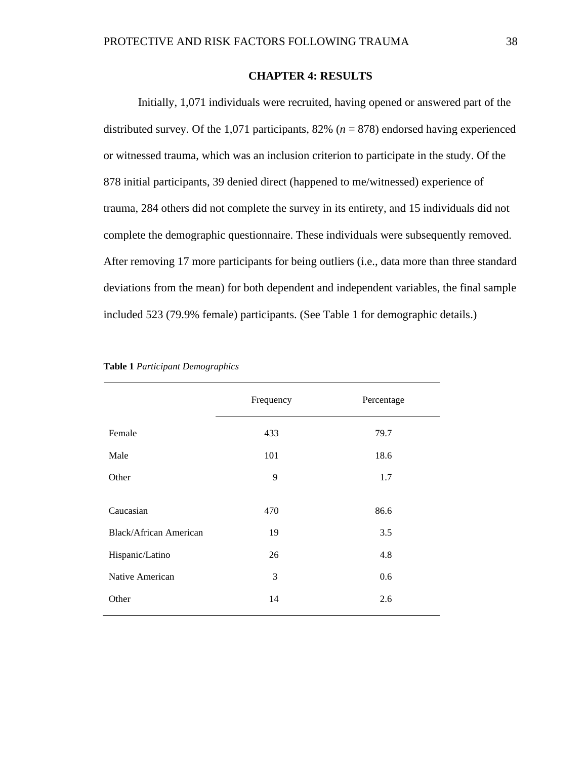#### **CHAPTER 4: RESULTS**

Initially, 1,071 individuals were recruited, having opened or answered part of the distributed survey. Of the 1,071 participants, 82% (*n* = 878) endorsed having experienced or witnessed trauma, which was an inclusion criterion to participate in the study. Of the 878 initial participants, 39 denied direct (happened to me/witnessed) experience of trauma, 284 others did not complete the survey in its entirety, and 15 individuals did not complete the demographic questionnaire. These individuals were subsequently removed. After removing 17 more participants for being outliers (i.e., data more than three standard deviations from the mean) for both dependent and independent variables, the final sample included 523 (79.9% female) participants. (See Table 1 for demographic details.)

|                               | Frequency | Percentage |
|-------------------------------|-----------|------------|
| Female                        | 433       | 79.7       |
| Male                          | 101       | 18.6       |
| Other                         | 9         | 1.7        |
| Caucasian                     | 470       | 86.6       |
| <b>Black/African American</b> | 19        | 3.5        |
| Hispanic/Latino               | 26        | 4.8        |
| Native American               | 3         | 0.6        |
| Other                         | 14        | 2.6        |
|                               |           |            |

|  |  | Table 1 Participant Demographics |
|--|--|----------------------------------|
|--|--|----------------------------------|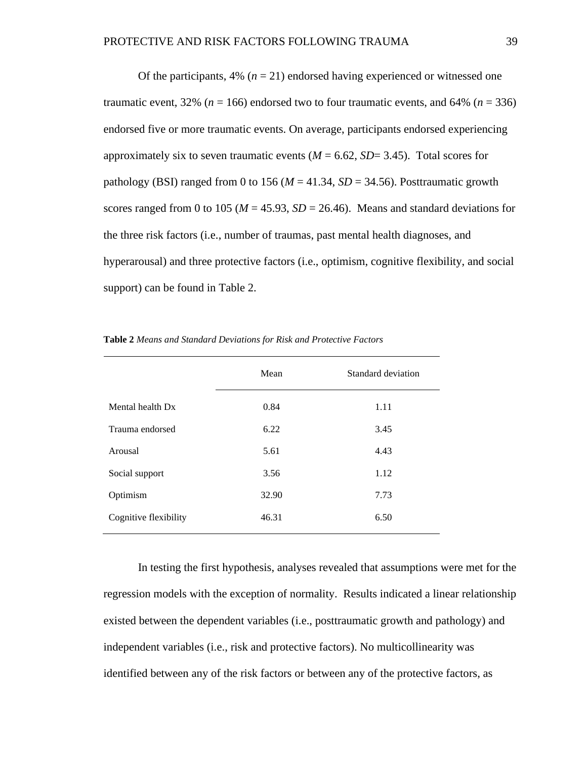Of the participants,  $4\%$  ( $n = 21$ ) endorsed having experienced or witnessed one traumatic event,  $32\%$  ( $n = 166$ ) endorsed two to four traumatic events, and  $64\%$  ( $n = 336$ ) endorsed five or more traumatic events. On average, participants endorsed experiencing approximately six to seven traumatic events  $(M = 6.62, SD = 3.45)$ . Total scores for pathology (BSI) ranged from 0 to 156 ( $M = 41.34$ ,  $SD = 34.56$ ). Posttraumatic growth scores ranged from 0 to 105 ( $M = 45.93$ ,  $SD = 26.46$ ). Means and standard deviations for the three risk factors (i.e., number of traumas, past mental health diagnoses, and hyperarousal) and three protective factors (i.e., optimism, cognitive flexibility, and social support) can be found in Table 2.

| Mean  | Standard deviation |
|-------|--------------------|
| 0.84  | 1.11               |
| 6.22  | 3.45               |
| 5.61  | 4.43               |
| 3.56  | 1.12               |
| 32.90 | 7.73               |
| 46.31 | 6.50               |
|       |                    |

**Table 2** *Means and Standard Deviations for Risk and Protective Factors*

In testing the first hypothesis, analyses revealed that assumptions were met for the regression models with the exception of normality. Results indicated a linear relationship existed between the dependent variables (i.e., posttraumatic growth and pathology) and independent variables (i.e., risk and protective factors). No multicollinearity was identified between any of the risk factors or between any of the protective factors, as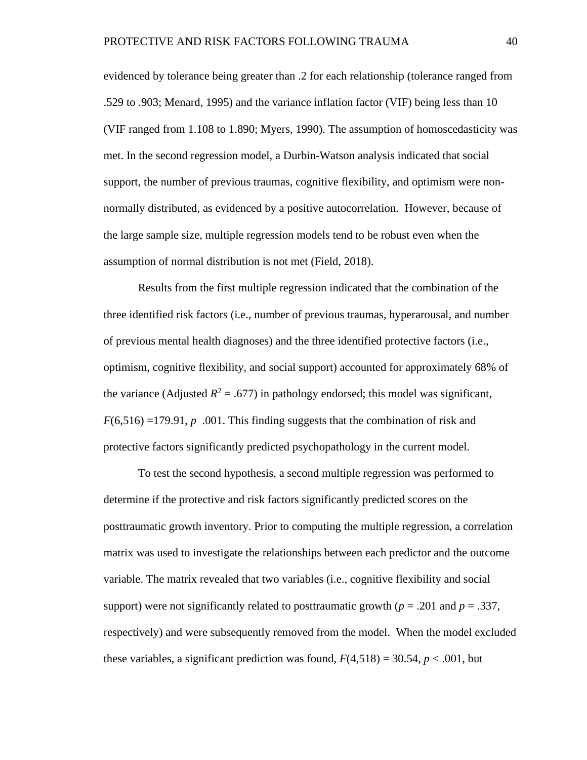evidenced by tolerance being greater than .2 for each relationship (tolerance ranged from .529 to .903; Menard, 1995) and the variance inflation factor (VIF) being less than 10 (VIF ranged from 1.108 to 1.890; Myers, 1990). The assumption of homoscedasticity was met. In the second regression model, a Durbin-Watson analysis indicated that social support, the number of previous traumas, cognitive flexibility, and optimism were nonnormally distributed, as evidenced by a positive autocorrelation. However, because of the large sample size, multiple regression models tend to be robust even when the assumption of normal distribution is not met (Field, 2018).

Results from the first multiple regression indicated that the combination of the three identified risk factors (i.e., number of previous traumas, hyperarousal, and number of previous mental health diagnoses) and the three identified protective factors (i.e., optimism, cognitive flexibility, and social support) accounted for approximately 68% of the variance (Adjusted  $R^2 = .677$ ) in pathology endorsed; this model was significant,  $F(6,516) = 179.91$ , *p* .001. This finding suggests that the combination of risk and protective factors significantly predicted psychopathology in the current model.

To test the second hypothesis, a second multiple regression was performed to determine if the protective and risk factors significantly predicted scores on the posttraumatic growth inventory. Prior to computing the multiple regression, a correlation matrix was used to investigate the relationships between each predictor and the outcome variable. The matrix revealed that two variables (i.e., cognitive flexibility and social support) were not significantly related to posttraumatic growth  $(p = .201$  and  $p = .337$ , respectively) and were subsequently removed from the model. When the model excluded these variables, a significant prediction was found,  $F(4,518) = 30.54$ ,  $p < .001$ , but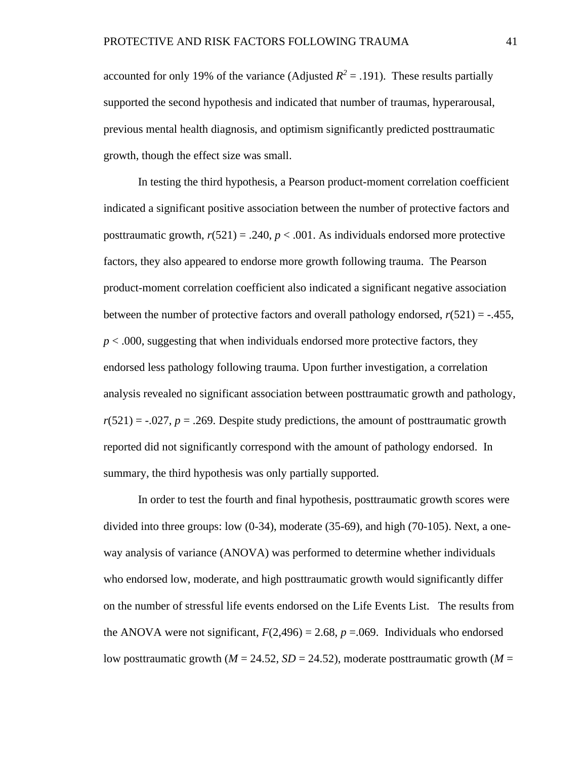accounted for only 19% of the variance (Adjusted  $R^2 = .191$ ). These results partially supported the second hypothesis and indicated that number of traumas, hyperarousal, previous mental health diagnosis, and optimism significantly predicted posttraumatic growth, though the effect size was small.

In testing the third hypothesis, a Pearson product-moment correlation coefficient indicated a significant positive association between the number of protective factors and posttraumatic growth,  $r(521) = .240$ ,  $p < .001$ . As individuals endorsed more protective factors, they also appeared to endorse more growth following trauma. The Pearson product-moment correlation coefficient also indicated a significant negative association between the number of protective factors and overall pathology endorsed,  $r(521) = -0.455$ , *p* < .000, suggesting that when individuals endorsed more protective factors, they endorsed less pathology following trauma. Upon further investigation, a correlation analysis revealed no significant association between posttraumatic growth and pathology,  $r(521) = -.027$ ,  $p = .269$ . Despite study predictions, the amount of posttraumatic growth reported did not significantly correspond with the amount of pathology endorsed. In summary, the third hypothesis was only partially supported.

In order to test the fourth and final hypothesis, posttraumatic growth scores were divided into three groups: low (0-34), moderate (35-69), and high (70-105). Next, a oneway analysis of variance (ANOVA) was performed to determine whether individuals who endorsed low, moderate, and high posttraumatic growth would significantly differ on the number of stressful life events endorsed on the Life Events List. The results from the ANOVA were not significant,  $F(2,496) = 2.68$ ,  $p = .069$ . Individuals who endorsed low posttraumatic growth ( $M = 24.52$ ,  $SD = 24.52$ ), moderate posttraumatic growth ( $M =$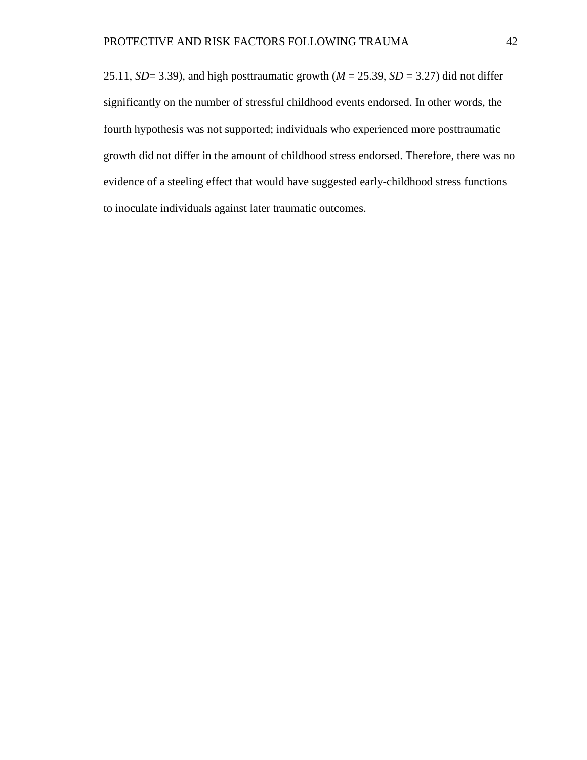25.11, *SD*= 3.39), and high posttraumatic growth ( $M = 25.39$ , *SD* = 3.27) did not differ significantly on the number of stressful childhood events endorsed. In other words, the fourth hypothesis was not supported; individuals who experienced more posttraumatic growth did not differ in the amount of childhood stress endorsed. Therefore, there was no evidence of a steeling effect that would have suggested early-childhood stress functions to inoculate individuals against later traumatic outcomes.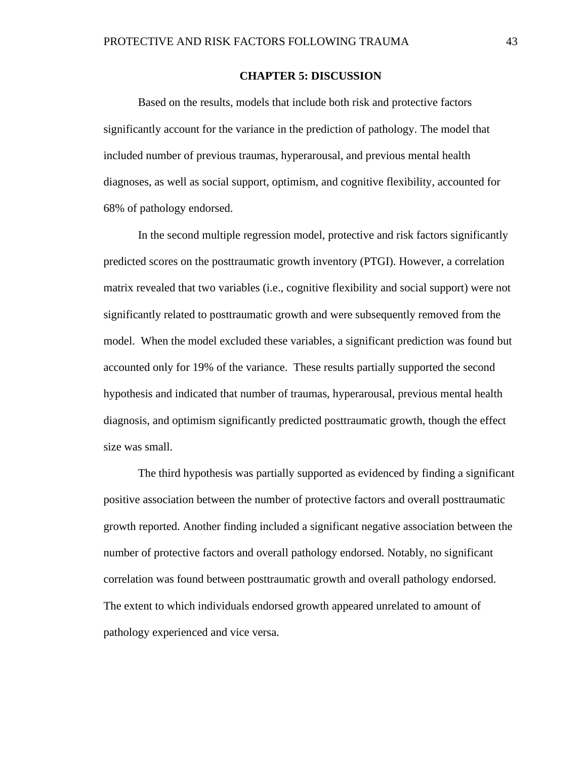#### **CHAPTER 5: DISCUSSION**

Based on the results, models that include both risk and protective factors significantly account for the variance in the prediction of pathology. The model that included number of previous traumas, hyperarousal, and previous mental health diagnoses, as well as social support, optimism, and cognitive flexibility, accounted for 68% of pathology endorsed.

In the second multiple regression model, protective and risk factors significantly predicted scores on the posttraumatic growth inventory (PTGI). However, a correlation matrix revealed that two variables (i.e., cognitive flexibility and social support) were not significantly related to posttraumatic growth and were subsequently removed from the model. When the model excluded these variables, a significant prediction was found but accounted only for 19% of the variance. These results partially supported the second hypothesis and indicated that number of traumas, hyperarousal, previous mental health diagnosis, and optimism significantly predicted posttraumatic growth, though the effect size was small.

The third hypothesis was partially supported as evidenced by finding a significant positive association between the number of protective factors and overall posttraumatic growth reported. Another finding included a significant negative association between the number of protective factors and overall pathology endorsed. Notably, no significant correlation was found between posttraumatic growth and overall pathology endorsed. The extent to which individuals endorsed growth appeared unrelated to amount of pathology experienced and vice versa.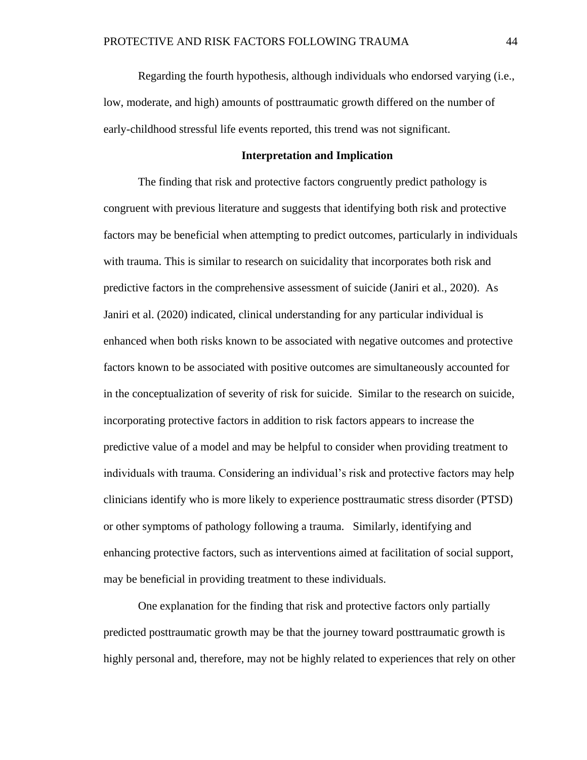Regarding the fourth hypothesis, although individuals who endorsed varying (i.e., low, moderate, and high) amounts of posttraumatic growth differed on the number of early-childhood stressful life events reported, this trend was not significant.

#### **Interpretation and Implication**

The finding that risk and protective factors congruently predict pathology is congruent with previous literature and suggests that identifying both risk and protective factors may be beneficial when attempting to predict outcomes, particularly in individuals with trauma. This is similar to research on suicidality that incorporates both risk and predictive factors in the comprehensive assessment of suicide (Janiri et al., 2020). As Janiri et al. (2020) indicated, clinical understanding for any particular individual is enhanced when both risks known to be associated with negative outcomes and protective factors known to be associated with positive outcomes are simultaneously accounted for in the conceptualization of severity of risk for suicide. Similar to the research on suicide, incorporating protective factors in addition to risk factors appears to increase the predictive value of a model and may be helpful to consider when providing treatment to individuals with trauma. Considering an individual's risk and protective factors may help clinicians identify who is more likely to experience posttraumatic stress disorder (PTSD) or other symptoms of pathology following a trauma. Similarly, identifying and enhancing protective factors, such as interventions aimed at facilitation of social support, may be beneficial in providing treatment to these individuals.

One explanation for the finding that risk and protective factors only partially predicted posttraumatic growth may be that the journey toward posttraumatic growth is highly personal and, therefore, may not be highly related to experiences that rely on other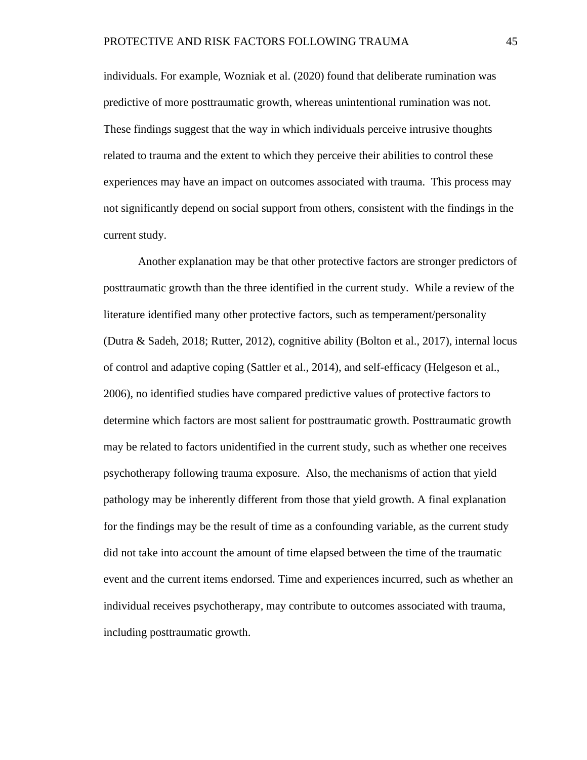individuals. For example, Wozniak et al. (2020) found that deliberate rumination was predictive of more posttraumatic growth, whereas unintentional rumination was not. These findings suggest that the way in which individuals perceive intrusive thoughts related to trauma and the extent to which they perceive their abilities to control these experiences may have an impact on outcomes associated with trauma. This process may not significantly depend on social support from others, consistent with the findings in the current study.

Another explanation may be that other protective factors are stronger predictors of posttraumatic growth than the three identified in the current study. While a review of the literature identified many other protective factors, such as temperament/personality (Dutra & Sadeh, 2018; Rutter, 2012), cognitive ability (Bolton et al., 2017), internal locus of control and adaptive coping (Sattler et al., 2014), and self-efficacy (Helgeson et al., 2006), no identified studies have compared predictive values of protective factors to determine which factors are most salient for posttraumatic growth. Posttraumatic growth may be related to factors unidentified in the current study, such as whether one receives psychotherapy following trauma exposure. Also, the mechanisms of action that yield pathology may be inherently different from those that yield growth. A final explanation for the findings may be the result of time as a confounding variable, as the current study did not take into account the amount of time elapsed between the time of the traumatic event and the current items endorsed. Time and experiences incurred, such as whether an individual receives psychotherapy, may contribute to outcomes associated with trauma, including posttraumatic growth.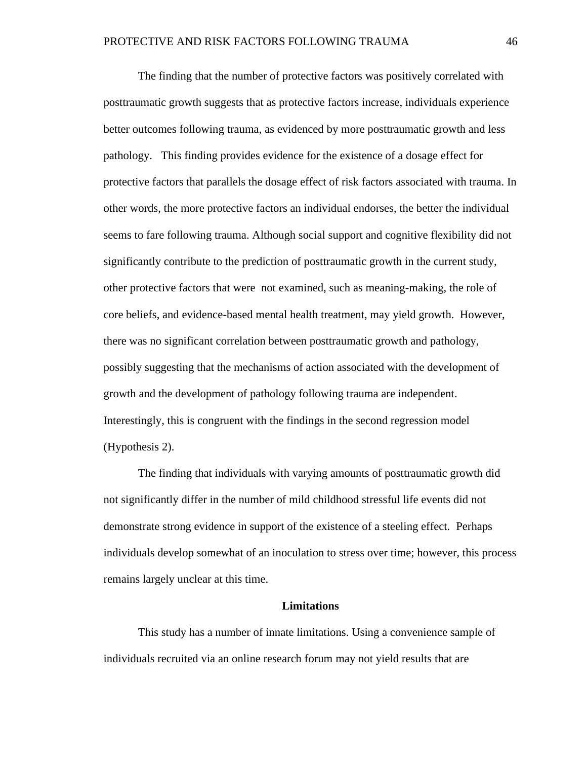The finding that the number of protective factors was positively correlated with posttraumatic growth suggests that as protective factors increase, individuals experience better outcomes following trauma, as evidenced by more posttraumatic growth and less pathology. This finding provides evidence for the existence of a dosage effect for protective factors that parallels the dosage effect of risk factors associated with trauma. In other words, the more protective factors an individual endorses, the better the individual seems to fare following trauma. Although social support and cognitive flexibility did not significantly contribute to the prediction of posttraumatic growth in the current study, other protective factors that were not examined, such as meaning-making, the role of core beliefs, and evidence-based mental health treatment, may yield growth. However, there was no significant correlation between posttraumatic growth and pathology, possibly suggesting that the mechanisms of action associated with the development of growth and the development of pathology following trauma are independent. Interestingly, this is congruent with the findings in the second regression model (Hypothesis 2).

The finding that individuals with varying amounts of posttraumatic growth did not significantly differ in the number of mild childhood stressful life events did not demonstrate strong evidence in support of the existence of a steeling effect. Perhaps individuals develop somewhat of an inoculation to stress over time; however, this process remains largely unclear at this time.

#### **Limitations**

This study has a number of innate limitations. Using a convenience sample of individuals recruited via an online research forum may not yield results that are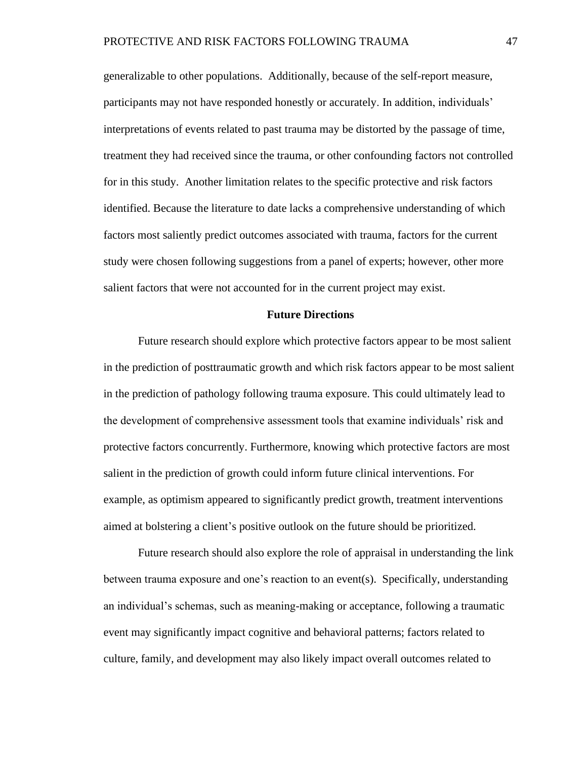generalizable to other populations. Additionally, because of the self-report measure, participants may not have responded honestly or accurately. In addition, individuals' interpretations of events related to past trauma may be distorted by the passage of time, treatment they had received since the trauma, or other confounding factors not controlled for in this study. Another limitation relates to the specific protective and risk factors identified. Because the literature to date lacks a comprehensive understanding of which factors most saliently predict outcomes associated with trauma, factors for the current study were chosen following suggestions from a panel of experts; however, other more salient factors that were not accounted for in the current project may exist.

#### **Future Directions**

Future research should explore which protective factors appear to be most salient in the prediction of posttraumatic growth and which risk factors appear to be most salient in the prediction of pathology following trauma exposure. This could ultimately lead to the development of comprehensive assessment tools that examine individuals' risk and protective factors concurrently. Furthermore, knowing which protective factors are most salient in the prediction of growth could inform future clinical interventions. For example, as optimism appeared to significantly predict growth, treatment interventions aimed at bolstering a client's positive outlook on the future should be prioritized.

Future research should also explore the role of appraisal in understanding the link between trauma exposure and one's reaction to an event(s). Specifically, understanding an individual's schemas, such as meaning-making or acceptance, following a traumatic event may significantly impact cognitive and behavioral patterns; factors related to culture, family, and development may also likely impact overall outcomes related to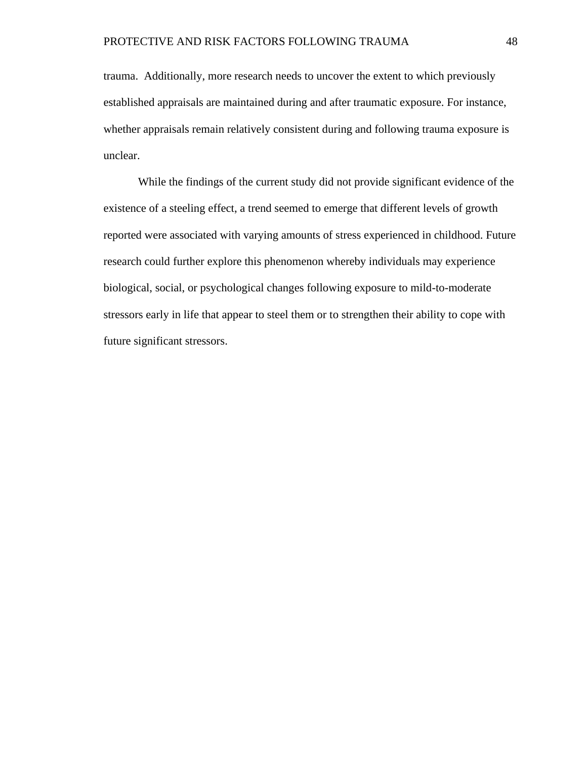trauma. Additionally, more research needs to uncover the extent to which previously established appraisals are maintained during and after traumatic exposure. For instance, whether appraisals remain relatively consistent during and following trauma exposure is unclear.

While the findings of the current study did not provide significant evidence of the existence of a steeling effect, a trend seemed to emerge that different levels of growth reported were associated with varying amounts of stress experienced in childhood. Future research could further explore this phenomenon whereby individuals may experience biological, social, or psychological changes following exposure to mild-to-moderate stressors early in life that appear to steel them or to strengthen their ability to cope with future significant stressors.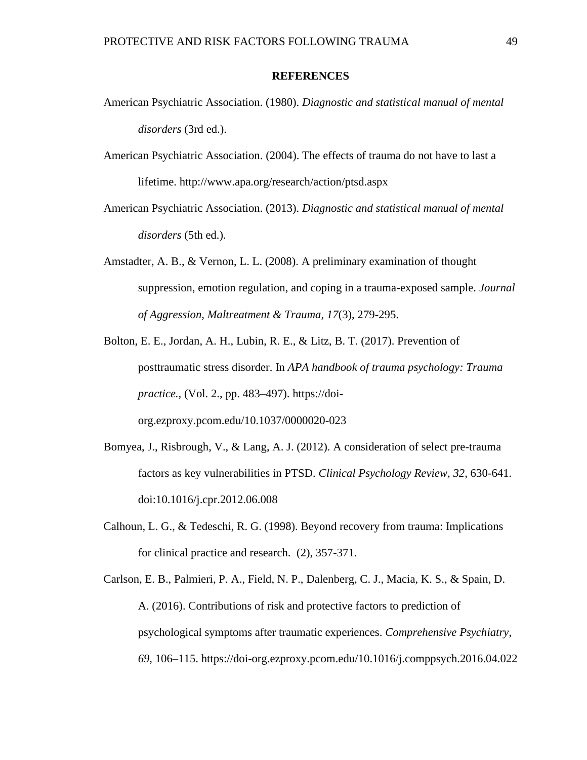#### **REFERENCES**

- American Psychiatric Association. (1980). *Diagnostic and statistical manual of mental disorders* (3rd ed.).
- American Psychiatric Association. (2004). The effects of trauma do not have to last a lifetime. http://www.apa.org/research/action/ptsd.aspx
- American Psychiatric Association. (2013). *Diagnostic and statistical manual of mental disorders* (5th ed.).
- Amstadter, A. B., & Vernon, L. L. (2008). A preliminary examination of thought suppression, emotion regulation, and coping in a trauma-exposed sample. *Journal of Aggression, Maltreatment & Trauma, 17*(3), 279-295.
- Bolton, E. E., Jordan, A. H., Lubin, R. E., & Litz, B. T. (2017). Prevention of posttraumatic stress disorder. In *APA handbook of trauma psychology: Trauma practice.,* (Vol. 2., pp. 483–497). https://doiorg.ezproxy.pcom.edu/10.1037/0000020-023
- Bomyea, J., Risbrough, V., & Lang, A. J. (2012). A consideration of select pre-trauma factors as key vulnerabilities in PTSD. *Clinical Psychology Review, 32,* 630-641. doi:10.1016/j.cpr.2012.06.008
- Calhoun, L. G., & Tedeschi, R. G. (1998). Beyond recovery from trauma: Implications for clinical practice and research. (2), 357-371.
- Carlson, E. B., Palmieri, P. A., Field, N. P., Dalenberg, C. J., Macia, K. S., & Spain, D. A. (2016). Contributions of risk and protective factors to prediction of psychological symptoms after traumatic experiences. *Comprehensive Psychiatry*, *69,* 106–115. https://doi-org.ezproxy.pcom.edu/10.1016/j.comppsych.2016.04.022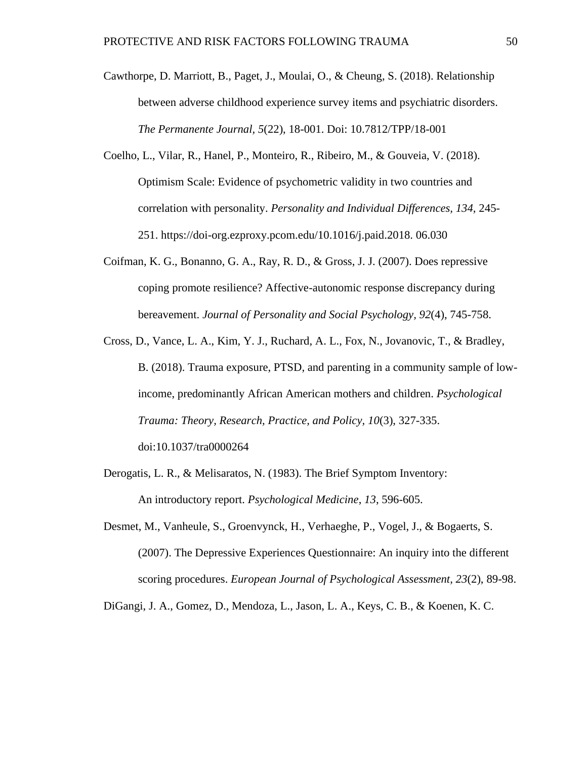- Cawthorpe, D. Marriott, B., Paget, J., Moulai, O., & Cheung, S. (2018). Relationship between adverse childhood experience survey items and psychiatric disorders. *The Permanente Journal, 5*(22), 18-001. Doi: 10.7812/TPP/18-001
- Coelho, L., Vilar, R., Hanel, P., Monteiro, R., Ribeiro, M., & Gouveia, V. (2018). Optimism Scale: Evidence of psychometric validity in two countries and correlation with personality. *Personality and Individual Differences, 134,* 245- 251. https://doi-org.ezproxy.pcom.edu/10.1016/j.paid.2018. 06.030
- Coifman, K. G., Bonanno, G. A., Ray, R. D., & Gross, J. J. (2007). Does repressive coping promote resilience? Affective-autonomic response discrepancy during bereavement. *Journal of Personality and Social Psychology, 92*(4), 745-758.
- Cross, D., Vance, L. A., Kim, Y. J., Ruchard, A. L., Fox, N., Jovanovic, T., & Bradley, B. (2018). Trauma exposure, PTSD, and parenting in a community sample of lowincome, predominantly African American mothers and children. *Psychological Trauma: Theory, Research, Practice, and Policy, 10*(3), 327-335. doi:10.1037/tra0000264
- Derogatis, L. R., & Melisaratos, N. (1983). The Brief Symptom Inventory: An introductory report. *Psychological Medicine*, *13*, 596-605.
- Desmet, M., Vanheule, S., Groenvynck, H., Verhaeghe, P., Vogel, J., & Bogaerts, S. (2007). The Depressive Experiences Questionnaire: An inquiry into the different scoring procedures. *European Journal of Psychological Assessment, 23*(2), 89-98.

DiGangi, J. A., Gomez, D., Mendoza, L., Jason, L. A., Keys, C. B., & Koenen, K. C.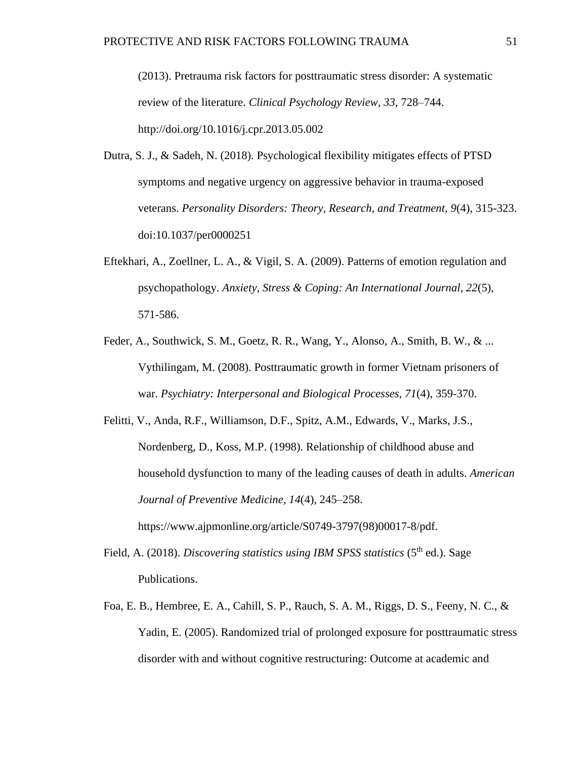(2013). Pretrauma risk factors for posttraumatic stress disorder: A systematic review of the literature. *Clinical Psychology Review, 33,* 728–744. http://doi.org/10.1016/j.cpr.2013.05.002

- Dutra, S. J., & Sadeh, N. (2018). Psychological flexibility mitigates effects of PTSD symptoms and negative urgency on aggressive behavior in trauma-exposed veterans. *Personality Disorders: Theory, Research, and Treatment, 9*(4), 315-323. doi:10.1037/per0000251
- Eftekhari, A., Zoellner, L. A., & Vigil, S. A. (2009). Patterns of emotion regulation and psychopathology. *Anxiety, Stress & Coping: An International Journal, 22*(5), 571-586.
- Feder, A., Southwick, S. M., Goetz, R. R., Wang, Y., Alonso, A., Smith, B. W., & ... Vythilingam, M. (2008). Posttraumatic growth in former Vietnam prisoners of war. *Psychiatry: Interpersonal and Biological Processes, 71*(4), 359-370.
- Felitti, V., Anda, R.F., Williamson, D.F., Spitz, A.M., Edwards, V., Marks, J.S., Nordenberg, D., Koss, M.P. (1998). Relationship of childhood abuse and household dysfunction to many of the leading causes of death in adults. *American Journal of Preventive Medicine, 14*(4), 245–258. https://www.ajpmonline.org/article/S0749-3797(98)00017-8/pdf.
- Field, A. (2018). *Discovering statistics using IBM SPSS statistics* (5<sup>th</sup> ed.). Sage Publications.
- Foa, E. B., Hembree, E. A., Cahill, S. P., Rauch, S. A. M., Riggs, D. S., Feeny, N. C., & Yadin, E. (2005). Randomized trial of prolonged exposure for posttraumatic stress disorder with and without cognitive restructuring: Outcome at academic and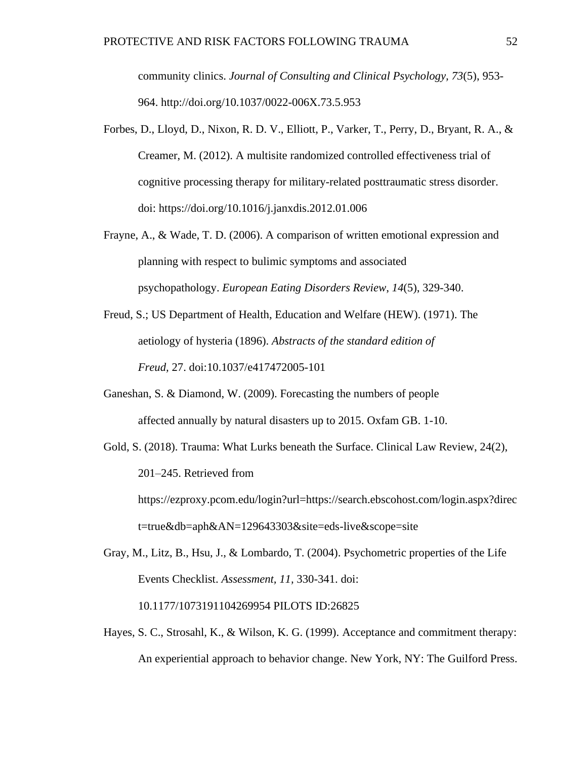community clinics. *Journal of Consulting and Clinical Psychology, 73*(5), 953- 964. http://doi.org/10.1037/0022-006X.73.5.953

- Forbes, D., Lloyd, D., Nixon, R. D. V., Elliott, P., Varker, T., Perry, D., Bryant, R. A., & Creamer, M. (2012). A multisite randomized controlled effectiveness trial of cognitive processing therapy for military-related posttraumatic stress disorder. doi: https://doi.org/10.1016/j.janxdis.2012.01.006
- Frayne, A., & Wade, T. D. (2006). A comparison of written emotional expression and planning with respect to bulimic symptoms and associated psychopathology. *European Eating Disorders Review*, *14*(5), 329-340.
- Freud, S.; US Department of Health, Education and Welfare (HEW). (1971). The aetiology of hysteria (1896). *Abstracts of the standard edition of Freud,* 27. doi:10.1037/e417472005-101
- Ganeshan, S. & Diamond, W. (2009). Forecasting the numbers of people affected annually by natural disasters up to 2015. Oxfam GB. 1-10.
- Gold, S. (2018). Trauma: What Lurks beneath the Surface. Clinical Law Review, 24(2), 201–245. Retrieved from https://ezproxy.pcom.edu/login?url=https://search.ebscohost.com/login.aspx?direc t=true&db=aph&AN=129643303&site=eds-live&scope=site
- Gray, M., Litz, B., Hsu, J., & Lombardo, T. (2004). Psychometric properties of the Life Events Checklist. *Assessment, 11,* 330-341. doi: 10.1177/1073191104269954 PILOTS ID:26825
- Hayes, S. C., Strosahl, K., & Wilson, K. G. (1999). Acceptance and commitment therapy: An experiential approach to behavior change. New York, NY: The Guilford Press.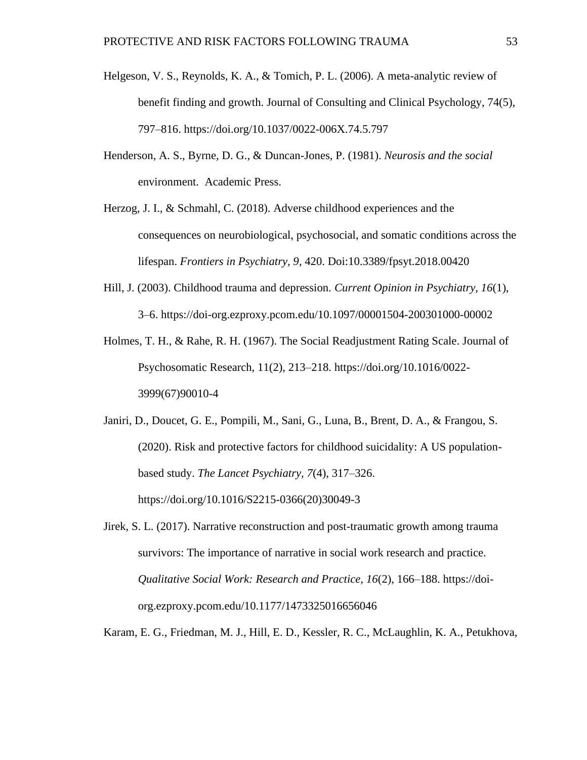- Helgeson, V. S., Reynolds, K. A., & Tomich, P. L. (2006). A meta-analytic review of benefit finding and growth. Journal of Consulting and Clinical Psychology, 74(5), 797–816. https://doi.org/10.1037/0022-006X.74.5.797
- Henderson, A. S., Byrne, D. G., & Duncan-Jones, P. (1981). *Neurosis and the social* environment. Academic Press.
- Herzog, J. I., & Schmahl, C. (2018). Adverse childhood experiences and the consequences on neurobiological, psychosocial, and somatic conditions across the lifespan. *Frontiers in Psychiatry, 9*, 420. Doi:10.3389/fpsyt.2018.00420
- Hill, J. (2003). Childhood trauma and depression. *Current Opinion in Psychiatry, 16*(1), 3–6. https://doi-org.ezproxy.pcom.edu/10.1097/00001504-200301000-00002
- Holmes, T. H., & Rahe, R. H. (1967). The Social Readjustment Rating Scale. Journal of Psychosomatic Research, 11(2), 213–218. https://doi.org/10.1016/0022- 3999(67)90010-4
- Janiri, D., Doucet, G. E., Pompili, M., Sani, G., Luna, B., Brent, D. A., & Frangou, S. (2020). Risk and protective factors for childhood suicidality: A US populationbased study. *The Lancet Psychiatry, 7*(4), 317–326. https://doi.org/10.1016/S2215-0366(20)30049-3
- Jirek, S. L. (2017). Narrative reconstruction and post-traumatic growth among trauma survivors: The importance of narrative in social work research and practice. *Qualitative Social Work: Research and Practice, 16*(2), 166–188. https://doiorg.ezproxy.pcom.edu/10.1177/1473325016656046

Karam, E. G., Friedman, M. J., Hill, E. D., Kessler, R. C., McLaughlin, K. A., Petukhova,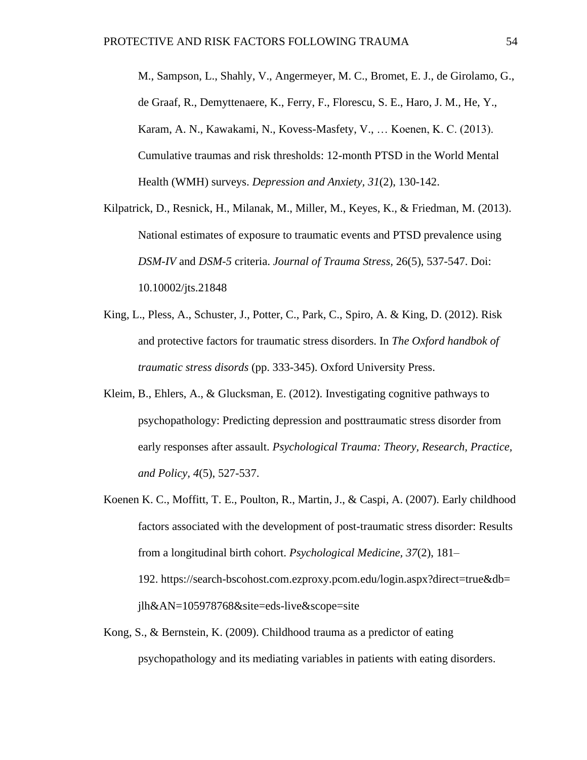M., Sampson, L., Shahly, V., Angermeyer, M. C., Bromet, E. J., de Girolamo, G., de Graaf, R., Demyttenaere, K., Ferry, F., Florescu, S. E., Haro, J. M., He, Y., Karam, A. N., Kawakami, N., Kovess-Masfety, V., … Koenen, K. C. (2013). Cumulative traumas and risk thresholds: 12-month PTSD in the World Mental Health (WMH) surveys. *Depression and Anxiety, 31*(2), 130-142.

- Kilpatrick, D., Resnick, H., Milanak, M., Miller, M., Keyes, K., & Friedman, M. (2013). National estimates of exposure to traumatic events and PTSD prevalence using *DSM-IV* and *DSM-5* criteria. *Journal of Trauma Stress,* 26(5), 537-547. Doi: 10.10002/jts.21848
- King, L., Pless, A., Schuster, J., Potter, C., Park, C., Spiro, A. & King, D. (2012). Risk and protective factors for traumatic stress disorders. In *The Oxford handbok of traumatic stress disords* (pp. 333-345). Oxford University Press.
- Kleim, B., Ehlers, A., & Glucksman, E. (2012). Investigating cognitive pathways to psychopathology: Predicting depression and posttraumatic stress disorder from early responses after assault. *Psychological Trauma: Theory, Research, Practice, and Policy, 4*(5), 527-537.
- Koenen K. C., Moffitt, T. E., Poulton, R., Martin, J., & Caspi, A. (2007). Early childhood factors associated with the development of post-traumatic stress disorder: Results from a longitudinal birth cohort. *Psychological Medicine, 37*(2), 181– 192. https://search-bscohost.com.ezproxy.pcom.edu/login.aspx?direct=true&db= jlh&AN=105978768&site=eds-live&scope=site
- Kong, S., & Bernstein, K. (2009). Childhood trauma as a predictor of eating psychopathology and its mediating variables in patients with eating disorders.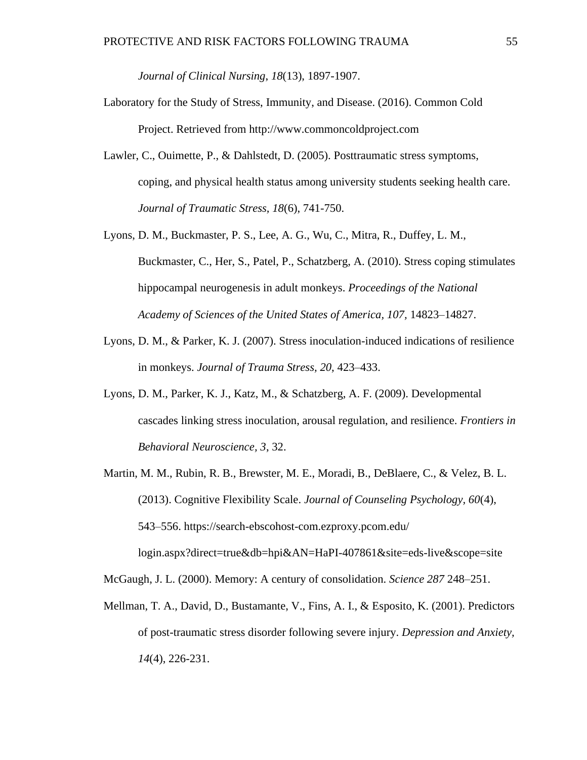*Journal of Clinical Nursing*, *18*(13), 1897-1907.

- Laboratory for the Study of Stress, Immunity, and Disease. (2016). Common Cold Project. Retrieved from http://www.commoncoldproject.com
- Lawler, C., Ouimette, P., & Dahlstedt, D. (2005). Posttraumatic stress symptoms, coping, and physical health status among university students seeking health care. *Journal of Traumatic Stress, 18*(6), 741-750.
- Lyons, D. M., Buckmaster, P. S., Lee, A. G., Wu, C., Mitra, R., Duffey, L. M., Buckmaster, C., Her, S., Patel, P., Schatzberg, A. (2010). Stress coping stimulates hippocampal neurogenesis in adult monkeys. *Proceedings of the National Academy of Sciences of the United States of America, 107,* 14823–14827.
- Lyons, D. M., & Parker, K. J. (2007). Stress inoculation-induced indications of resilience in monkeys. *Journal of Trauma Stress, 20,* 423–433.
- Lyons, D. M., Parker, K. J., Katz, M., & Schatzberg, A. F. (2009). Developmental cascades linking stress inoculation, arousal regulation, and resilience. *Frontiers in Behavioral Neuroscience, 3*, 32.
- Martin, M. M., Rubin, R. B., Brewster, M. E., Moradi, B., DeBlaere, C., & Velez, B. L. (2013). Cognitive Flexibility Scale. *Journal of Counseling Psychology, 60*(4), 543–556. https://search-ebscohost-com.ezproxy.pcom.edu/ login.aspx?direct=true&db=hpi&AN=HaPI-407861&site=eds-live&scope=site

McGaugh, J. L. (2000). Memory: A century of consolidation. *Science 287* 248–251.

Mellman, T. A., David, D., Bustamante, V., Fins, A. I., & Esposito, K. (2001). Predictors of post-traumatic stress disorder following severe injury. *Depression and Anxiety, 14*(4), 226-231.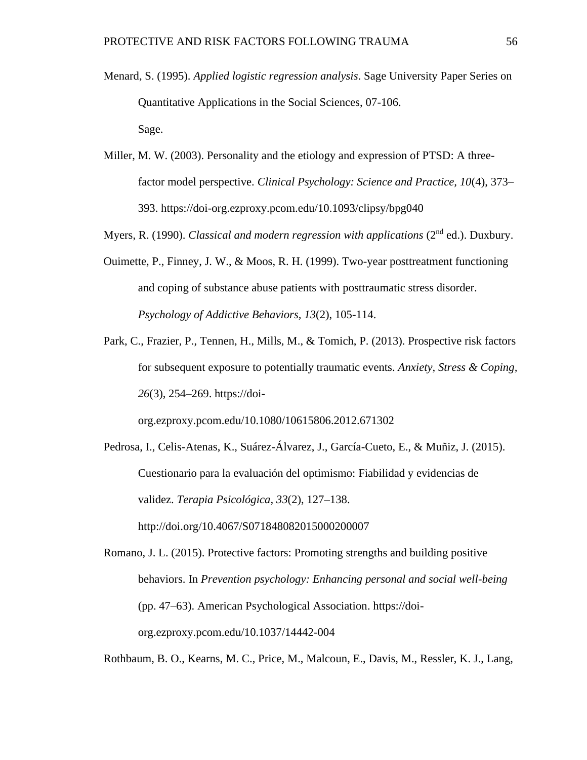- Menard, S. (1995). *Applied logistic regression analysis*. Sage University Paper Series on Quantitative Applications in the Social Sciences, 07-106. Sage.
- Miller, M. W. (2003). Personality and the etiology and expression of PTSD: A threefactor model perspective. *Clinical Psychology: Science and Practice, 10*(4), 373– 393. https://doi-org.ezproxy.pcom.edu/10.1093/clipsy/bpg040
- Myers, R. (1990). *Classical and modern regression with applications* (2<sup>nd</sup> ed.). Duxbury.
- Ouimette, P., Finney, J. W., & Moos, R. H. (1999). Two-year posttreatment functioning and coping of substance abuse patients with posttraumatic stress disorder. *Psychology of Addictive Behaviors, 13*(2), 105-114.
- Park, C., Frazier, P., Tennen, H., Mills, M., & Tomich, P. (2013). Prospective risk factors for subsequent exposure to potentially traumatic events. *Anxiety, Stress & Coping, 26*(3), 254–269. https://doi-

org.ezproxy.pcom.edu/10.1080/10615806.2012.671302

Pedrosa, I., Celis-Atenas, K., Suárez-Álvarez, J., García-Cueto, E., & Muñiz, J. (2015). Cuestionario para la evaluación del optimismo: Fiabilidad y evidencias de validez. *Terapia Psicológica, 33*(2), 127–138. http://doi.org/10.4067/S071848082015000200007

Romano, J. L. (2015). Protective factors: Promoting strengths and building positive behaviors. In *Prevention psychology: Enhancing personal and social well-being* (pp. 47–63). American Psychological Association. https://doiorg.ezproxy.pcom.edu/10.1037/14442-004

Rothbaum, B. O., Kearns, M. C., Price, M., Malcoun, E., Davis, M., Ressler, K. J., Lang,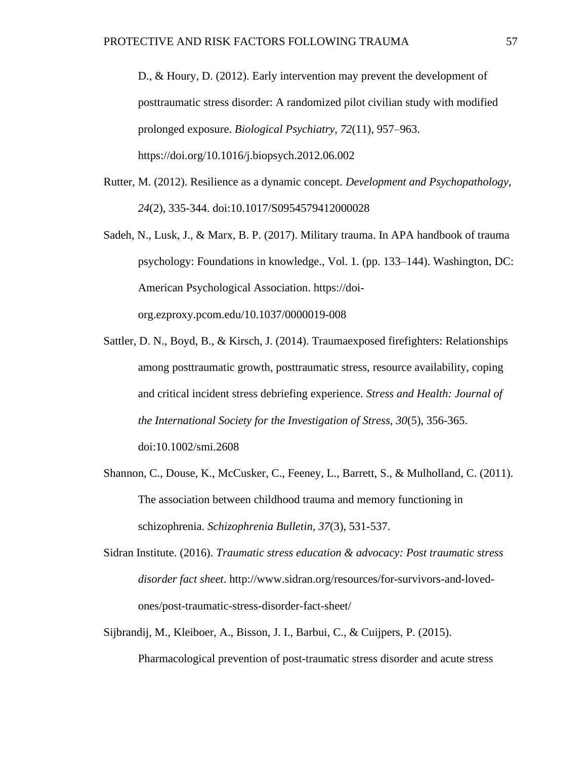D., & Houry, D. (2012). Early intervention may prevent the development of posttraumatic stress disorder: A randomized pilot civilian study with modified prolonged exposure. *Biological Psychiatry, 72*(11), 957–963. https://doi.org/10.1016/j.biopsych.2012.06.002

- Rutter, M. (2012). Resilience as a dynamic concept. *Development and Psychopathology, 24*(2), 335-344. doi:10.1017/S0954579412000028
- Sadeh, N., Lusk, J., & Marx, B. P. (2017). Military trauma. In APA handbook of trauma psychology: Foundations in knowledge., Vol. 1. (pp. 133–144). Washington, DC: American Psychological Association. https://doiorg.ezproxy.pcom.edu/10.1037/0000019-008
- Sattler, D. N., Boyd, B., & Kirsch, J. (2014). Traumaexposed firefighters: Relationships among posttraumatic growth, posttraumatic stress, resource availability, coping and critical incident stress debriefing experience. *Stress and Health: Journal of the International Society for the Investigation of Stress, 30*(5), 356-365. doi:10.1002/smi.2608
- Shannon, C., Douse, K., McCusker, C., Feeney, L., Barrett, S., & Mulholland, C. (2011). The association between childhood trauma and memory functioning in schizophrenia. *Schizophrenia Bulletin, 37*(3), 531-537.
- Sidran Institute. (2016). *Traumatic stress education & advocacy: Post traumatic stress disorder fact sheet*. http://www.sidran.org/resources/for-survivors-and-lovedones/post-traumatic-stress-disorder-fact-sheet/
- Sijbrandij, M., Kleiboer, A., Bisson, J. I., Barbui, C., & Cuijpers, P. (2015). Pharmacological prevention of post-traumatic stress disorder and acute stress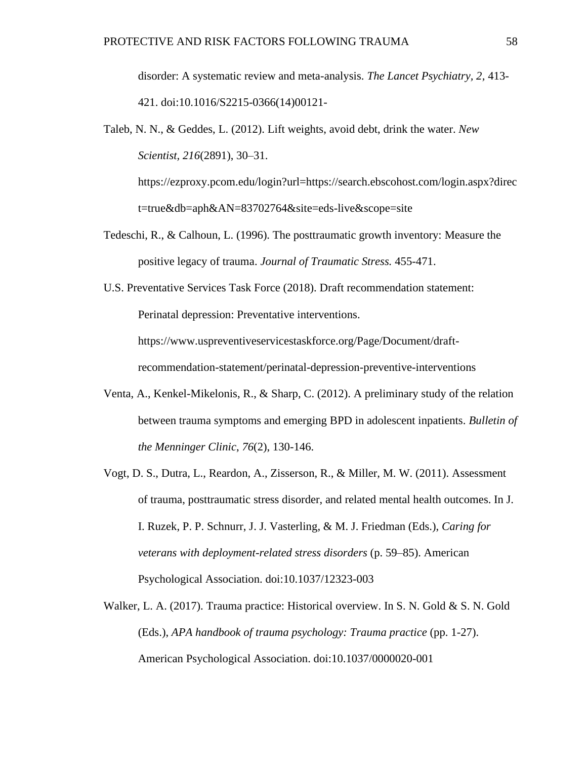disorder: A systematic review and meta-analysis. *The Lancet Psychiatry, 2,* 413- 421. doi:10.1016/S2215-0366(14)00121-

Taleb, N. N., & Geddes, L. (2012). Lift weights, avoid debt, drink the water. *New Scientist, 216*(2891), 30–31.

https://ezproxy.pcom.edu/login?url=https://search.ebscohost.com/login.aspx?direc t=true&db=aph&AN=83702764&site=eds-live&scope=site

- Tedeschi, R., & Calhoun, L. (1996). The posttraumatic growth inventory: Measure the positive legacy of trauma. *Journal of Traumatic Stress.* 455-471.
- U.S. Preventative Services Task Force (2018). Draft recommendation statement: Perinatal depression: Preventative interventions. https://www.uspreventiveservicestaskforce.org/Page/Document/draftrecommendation-statement/perinatal-depression-preventive-interventions
- Venta, A., Kenkel-Mikelonis, R., & Sharp, C. (2012). A preliminary study of the relation between trauma symptoms and emerging BPD in adolescent inpatients. *Bulletin of the Menninger Clinic*, *76*(2), 130-146.
- Vogt, D. S., Dutra, L., Reardon, A., Zisserson, R., & Miller, M. W. (2011). Assessment of trauma, posttraumatic stress disorder, and related mental health outcomes. In J. I. Ruzek, P. P. Schnurr, J. J. Vasterling, & M. J. Friedman (Eds.), *Caring for veterans with deployment-related stress disorders* (p. 59–85). American Psychological Association. doi:10.1037/12323-003
- Walker, L. A. (2017). Trauma practice: Historical overview. In S. N. Gold & S. N. Gold (Eds.), *APA handbook of trauma psychology: Trauma practice* (pp. 1-27). American Psychological Association. doi:10.1037/0000020-001